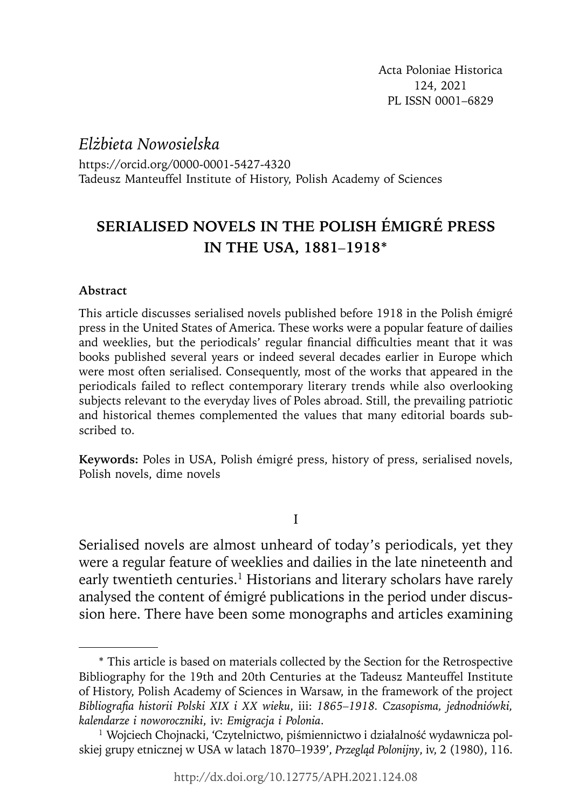*Elżbieta Nowosielska* https://orcid.org/0000-0001-5427-4320 Tadeusz Manteuffel Institute of History, Polish Academy of Sciences

# **SERIALISED NOVELS IN THE POLISH ÉMIGRÉ PRESS IN THE USA, 1881***–***1918\***

# **Abstract**

This article discusses serialised novels published before 1918 in the Polish émigré press in the United States of America. These works were a popular feature of dailies and weeklies, but the periodicals' regular financial difficulties meant that it was books published several years or indeed several decades earlier in Europe which were most often serialised. Consequently, most of the works that appeared in the periodicals failed to reflect contemporary literary trends while also overlooking subjects relevant to the everyday lives of Poles abroad. Still, the prevailing patriotic and historical themes complemented the values that many editorial boards subscribed to.

**Keywords:** Poles in USA, Polish émigré press, history of press, serialised novels, Polish novels, dime novels

# I

Serialised novels are almost unheard of today's periodicals, yet they were a regular feature of weeklies and dailies in the late nineteenth and early twentieth centuries.<sup>1</sup> Historians and literary scholars have rarely analysed the content of émigré publications in the period under discussion here. There have been some monographs and articles examining

<sup>\*</sup> This article is based on materials collected by the Section for the Retrospective Bibliography for the 19th and 20th Centuries at the Tadeusz Manteuffel Institute of History, Polish Academy of Sciences in Warsaw, in the framework of the project *Bibliografi a historii Polski XIX i XX wieku*, iii: *1865–1918. Czasopisma, jednodniówki, kalendarze i noworoczniki*, iv: *Emigracja i Polonia*.

<sup>1</sup> Wojciech Chojnacki, 'Czytelnictwo, piśmiennictwo i działalność wydawnicza polskiej grupy etnicznej w USA w latach 1870–1939', *Przegląd Polonijny*, iv, 2 (1980), 116.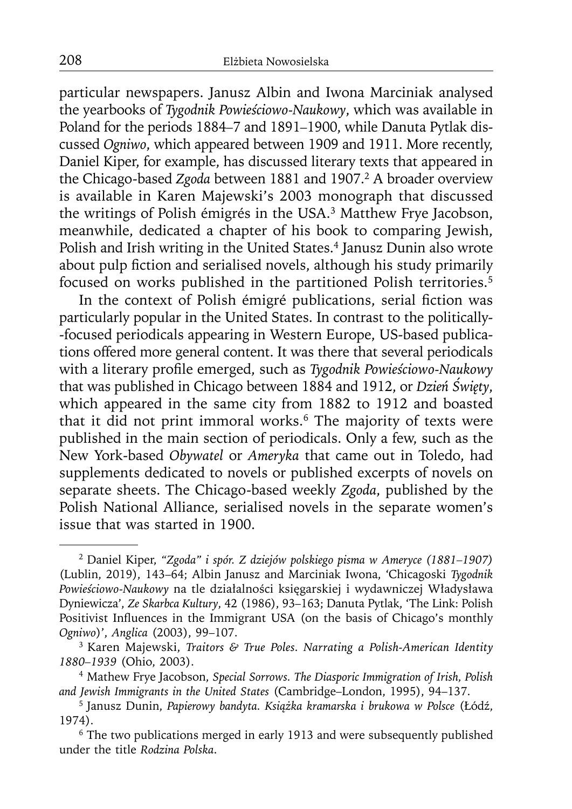particular newspapers. Janusz Albin and Iwona Marciniak analysed the yearbooks of *Tygodnik Powieściowo-Naukowy*, which was available in Poland for the periods 1884*–*7 and 1891*–*1900, while Danuta Pytlak discussed *Ogniwo*, which appeared between 1909 and 1911. More recently, Daniel Kiper, for example, has discussed literary texts that appeared in the Chicago-based *Zgoda* between 1881 and 1907.<sup>2</sup> A broader overview is available in Karen Majewski's 2003 monograph that discussed the writings of Polish émigrés in the USA.3 Matthew Frye Jacobson, meanwhile, dedicated a chapter of his book to comparing Jewish, Polish and Irish writing in the United States.<sup>4</sup> Janusz Dunin also wrote about pulp fiction and serialised novels, although his study primarily focused on works published in the partitioned Polish territories.5

In the context of Polish émigré publications, serial fiction was particularly popular in the United States. In contrast to the politically- -focused periodicals appearing in Western Europe, US-based publications offered more general content. It was there that several periodicals with a literary profile emerged, such as *Tygodnik Powieściowo-Naukowy* that was published in Chicago between 1884 and 1912, or *Dzień Święty*, which appeared in the same city from 1882 to 1912 and boasted that it did not print immoral works.<sup>6</sup> The majority of texts were published in the main section of periodicals. Only a few, such as the New York-based *Obywatel* or *Ameryka* that came out in Toledo, had supplements dedicated to novels or published excerpts of novels on separate sheets. The Chicago-based weekly *Zgoda*, published by the Polish National Alliance, serialised novels in the separate women's issue that was started in 1900.

<sup>2</sup> Daniel Kiper, *"Zgoda" i spór. Z dziejów polskiego pisma w Ameryce (1881–1907)* (Lublin, 2019), 143–64; Albin Janusz and Marciniak Iwona, 'Chicagoski *Tygodnik Powieściowo-Naukowy* na tle działalności księgarskiej i wydawniczej Władysława Dyniewicza', *Ze Skarbca Kultury*, 42 (1986), 93–163; Danuta Pytlak, 'The Link: Polish Positivist Influences in the Immigrant USA (on the basis of Chicago's monthly *Ogniwo*)', *Anglica* (2003), 99–107.

<sup>3</sup> Karen Majewski, *Traitors & True Poles. Narrating a Polish-American Identity 1880–1939* (Ohio, 2003).

<sup>4</sup> Mathew Frye Jacobson, *Special Sorrows. The Diasporic Immigration of Irish, Polish and Jewish Immigrants in the United States* (Cambridge–London, 1995), 94–137.

<sup>5</sup> Janusz Dunin, *Papierowy bandyta. Książka kramarska i brukowa w Polsce* (Łódź, 1974).

<sup>&</sup>lt;sup>6</sup> The two publications merged in early 1913 and were subsequently published under the title *Rodzina Polska*.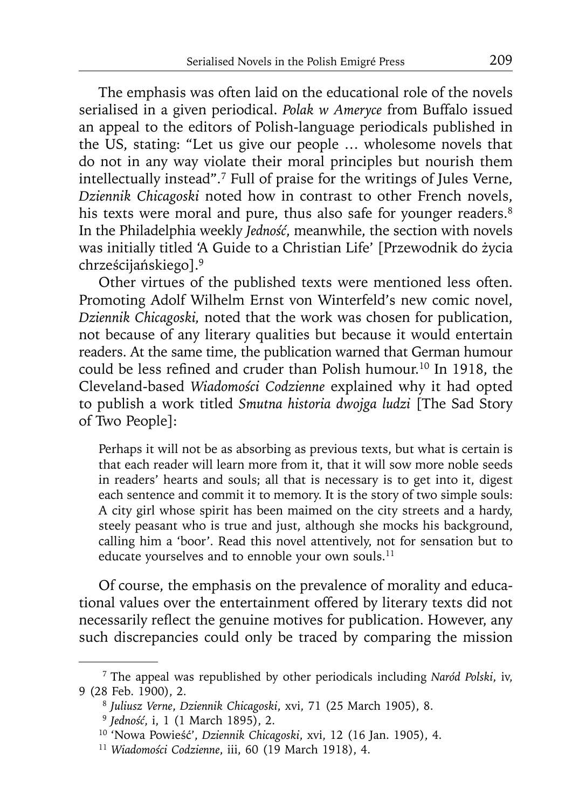The emphasis was often laid on the educational role of the novels serialised in a given periodical. *Polak w Ameryce* from Buffalo issued an appeal to the editors of Polish-language periodicals published in the US, stating: "Let us give our people … wholesome novels that do not in any way violate their moral principles but nourish them intellectually instead".7 Full of praise for the writings of Jules Verne, *Dziennik Chicagoski* noted how in contrast to other French novels, his texts were moral and pure, thus also safe for younger readers.<sup>8</sup> In the Philadelphia weekly *Jedność*, meanwhile, the section with novels was initially titled 'A Guide to a Christian Life' [Przewodnik do życia chrześcijańskiego].9

Other virtues of the published texts were mentioned less often. Promoting Adolf Wilhelm Ernst von Winterfeld's new comic novel, *Dziennik Chicagoski,* noted that the work was chosen for publication, not because of any literary qualities but because it would entertain readers. At the same time, the publication warned that German humour could be less refined and cruder than Polish humour.<sup>10</sup> In 1918, the Cleveland-based *Wiadomości Codzienne* explained why it had opted to publish a work titled *Smutna historia dwojga ludzi* [The Sad Story of Two People]:

Perhaps it will not be as absorbing as previous texts, but what is certain is that each reader will learn more from it, that it will sow more noble seeds in readers' hearts and souls; all that is necessary is to get into it, digest each sentence and commit it to memory. It is the story of two simple souls: A city girl whose spirit has been maimed on the city streets and a hardy, steely peasant who is true and just, although she mocks his background, calling him a 'boor'. Read this novel attentively, not for sensation but to educate yourselves and to ennoble your own souls.<sup>11</sup>

Of course, the emphasis on the prevalence of morality and educational values over the entertainment offered by literary texts did not necessarily reflect the genuine motives for publication. However, any such discrepancies could only be traced by comparing the mission

<sup>7</sup> The appeal was republished by other periodicals including *Naród Polski*, iv, 9 (28 Feb. 1900), 2.

<sup>8</sup>*Juliusz Verne*, *Dziennik Chicagoski*, xvi, 71 (25 March 1905), 8.

<sup>9</sup>*Jedność*, i, 1 (1 March 1895), 2.

<sup>10 &#</sup>x27;Nowa Powieść', *Dziennik Chicagoski*, xvi, 12 (16 Jan. 1905), 4.

<sup>11</sup> *Wiadomości Codzienne*, iii, 60 (19 March 1918), 4.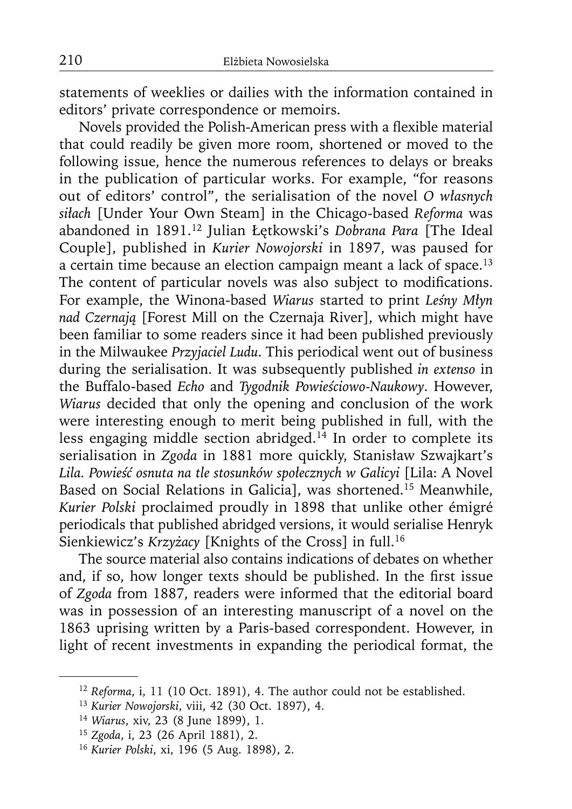statements of weeklies or dailies with the information contained in editors' private correspondence or memoirs.

Novels provided the Polish-American press with a flexible material that could readily be given more room, shortened or moved to the following issue, hence the numerous references to delays or breaks in the publication of particular works. For example, "for reasons out of editors' control", the serialisation of the novel *O własnych siłach* [Under Your Own Steam] in the Chicago-based *Reforma* was abandoned in 1891.12 Julian Łętkowski's *Dobrana Para* [The Ideal Couple], published in *Kurier Nowojorski* in 1897, was paused for a certain time because an election campaign meant a lack of space.<sup>13</sup> The content of particular novels was also subject to modifications. For example, the Winona-based *Wiarus* started to print *Leśny Młyn nad Czernają* [Forest Mill on the Czernaja River], which might have been familiar to some readers since it had been published previously in the Milwaukee *Przyjaciel Ludu*. This periodical went out of business during the serialisation. It was subsequently published *in extenso* in the Buffalo-based *Echo* and *Tygodnik Powieściowo-Naukowy*. However, *Wiarus* decided that only the opening and conclusion of the work were interesting enough to merit being published in full, with the less engaging middle section abridged.<sup>14</sup> In order to complete its serialisation in *Zgoda* in 1881 more quickly, Stanisław Szwajkart's *Lila. Powieść osnuta na tle stosunków społecznych w Galicyi* [Lila: A Novel Based on Social Relations in Galicia], was shortened.15 Meanwhile, *Kurier Polski* proclaimed proudly in 1898 that unlike other émigré periodicals that published abridged versions, it would serialise Henryk Sienkiewicz's *Krzyżacy* [Knights of the Cross] in full.16

The source material also contains indications of debates on whether and, if so, how longer texts should be published. In the first issue of *Zgoda* from 1887, readers were informed that the editorial board was in possession of an interesting manuscript of a novel on the 1863 uprising written by a Paris-based correspondent. However, in light of recent investments in expanding the periodical format, the

<sup>&</sup>lt;sup>12</sup> Reforma, i, 11 (10 Oct. 1891), 4. The author could not be established.

<sup>13</sup>*Kurier Nowojorski*, viii, 42 (30 Oct. 1897), 4.

<sup>14</sup>*Wiarus*, xiv, 23 (8 June 1899), 1.

<sup>15</sup>*Zgoda*, i, 23 (26 April 1881), 2. 16 *Kurier Polski*, xi, 196 (5 Aug. 1898), 2.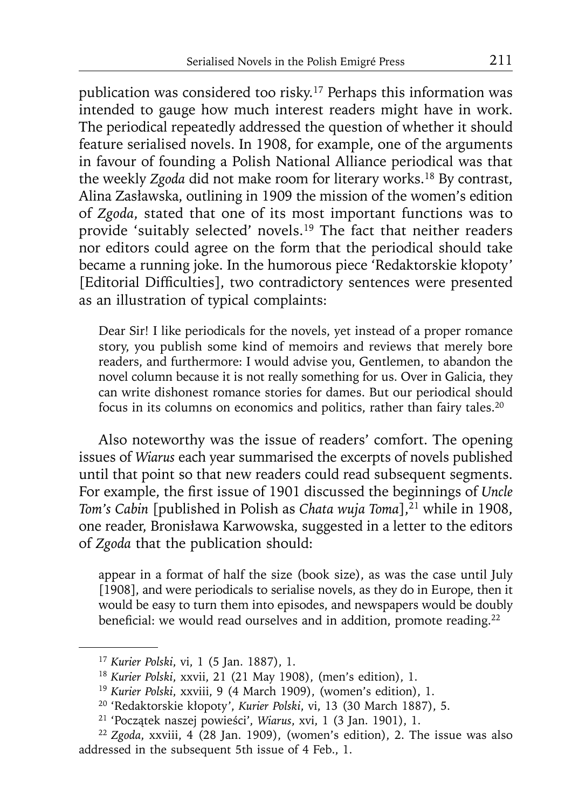publication was considered too risky.17 Perhaps this information was intended to gauge how much interest readers might have in work. The periodical repeatedly addressed the question of whether it should feature serialised novels. In 1908, for example, one of the arguments in favour of founding a Polish National Alliance periodical was that the weekly *Zgoda* did not make room for literary works.18 By contrast, Alina Zasławska, outlining in 1909 the mission of the women's edition of *Zgoda*, stated that one of its most important functions was to provide 'suitably selected' novels.<sup>19</sup> The fact that neither readers nor editors could agree on the form that the periodical should take became a running joke. In the humorous piece 'Redaktorskie kłopoty' [Editorial Difficulties], two contradictory sentences were presented as an illustration of typical complaints:

Dear Sir! I like periodicals for the novels, yet instead of a proper romance story, you publish some kind of memoirs and reviews that merely bore readers, and furthermore: I would advise you, Gentlemen, to abandon the novel column because it is not really something for us. Over in Galicia, they can write dishonest romance stories for dames. But our periodical should focus in its columns on economics and politics, rather than fairy tales.20

Also noteworthy was the issue of readers' comfort. The opening issues of *Wiarus* each year summarised the excerpts of novels published until that point so that new readers could read subsequent segments. For example, the first issue of 1901 discussed the beginnings of *Uncle Tom's Cabin* [published in Polish as *Chata wuja Toma*],<sup>21</sup> while in 1908, one reader, Bronisława Karwowska, suggested in a letter to the editors of *Zgoda* that the publication should:

appear in a format of half the size (book size), as was the case until July [1908], and were periodicals to serialise novels, as they do in Europe, then it would be easy to turn them into episodes, and newspapers would be doubly beneficial: we would read ourselves and in addition, promote reading.<sup>22</sup>

<sup>17</sup>*Kurier Polski*, vi, 1 (5 Jan. 1887), 1.

<sup>18</sup>*Kurier Polski*, xxvii, 21 (21 May 1908), (men's edition), 1.

<sup>19</sup>*Kurier Polski*, xxviii, 9 (4 March 1909), (women's edition), 1.

<sup>20 &#</sup>x27;Redaktorskie kłopoty', *Kurier Polski*, vi, 13 (30 March 1887), 5.

<sup>21 &#</sup>x27;Początek naszej powieści', *Wiarus*, xvi, 1 (3 Jan. 1901), 1.

<sup>22</sup>*Zgoda*, xxviii, 4 (28 Jan. 1909), (women's edition), 2. The issue was also addressed in the subsequent 5th issue of 4 Feb., 1.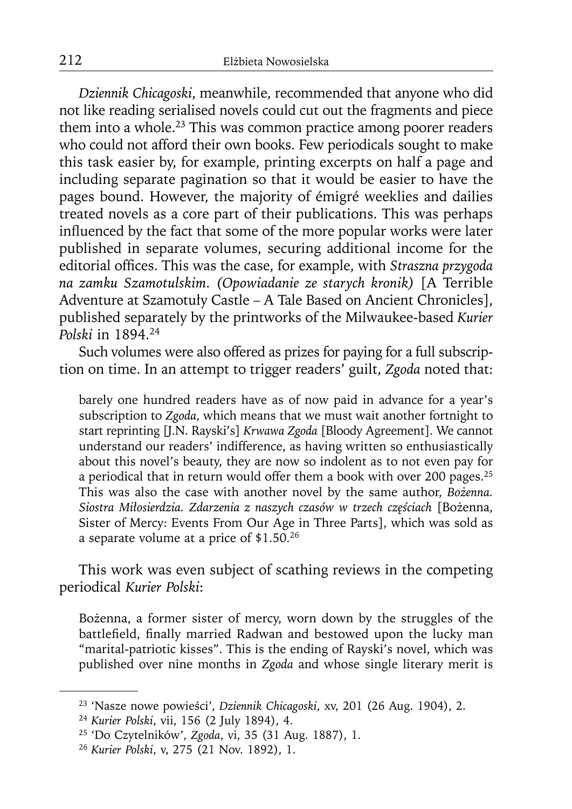*Dziennik Chicagoski*, meanwhile, recommended that anyone who did not like reading serialised novels could cut out the fragments and piece them into a whole.<sup>23</sup> This was common practice among poorer readers who could not afford their own books. Few periodicals sought to make this task easier by, for example, printing excerpts on half a page and including separate pagination so that it would be easier to have the pages bound. However, the majority of émigré weeklies and dailies treated novels as a core part of their publications. This was perhaps influenced by the fact that some of the more popular works were later published in separate volumes, securing additional income for the editorial offices. This was the case, for example, with *Straszna przygoda na zamku Szamotulskim. (Opowiadanie ze starych kronik)* [A Terrible Adventure at Szamotuły Castle – A Tale Based on Ancient Chronicles], published separately by the printworks of the Milwaukee-based *Kurier Polski* in 1894.24

Such volumes were also offered as prizes for paying for a full subscription on time. In an attempt to trigger readers' guilt, *Zgoda* noted that:

barely one hundred readers have as of now paid in advance for a year's subscription to *Zgoda*, which means that we must wait another fortnight to start reprinting [J.N. Rayski's] *Krwawa Zgoda* [Bloody Agreement]. We cannot understand our readers' indifference, as having written so enthusiastically about this novel's beauty, they are now so indolent as to not even pay for a periodical that in return would offer them a book with over 200 pages.25 This was also the case with another novel by the same author, *Bożenna. Siostra Miłosierdzia. Zdarzenia z naszych czasów w trzech częściach* [Bożenna, Sister of Mercy: Events From Our Age in Three Parts], which was sold as a separate volume at a price of \$1.50.26

This work was even subject of scathing reviews in the competing periodical *Kurier Polski*:

Bożenna, a former sister of mercy, worn down by the struggles of the battlefield, finally married Radwan and bestowed upon the lucky man "marital-patriotic kisses". This is the ending of Rayski's novel, which was published over nine months in *Zgoda* and whose single literary merit is

<sup>23 &#</sup>x27;Nasze nowe powieści', *Dziennik Chicagoski*, xv, 201 (26 Aug. 1904), 2.

<sup>24</sup>*Kurier Polski*, vii, 156 (2 July 1894), 4.

<sup>25 &#</sup>x27;Do Czytelników', *Zgoda*, vi, 35 (31 Aug. 1887), 1.

<sup>26</sup> *Kurier Polski*, v, 275 (21 Nov. 1892), 1.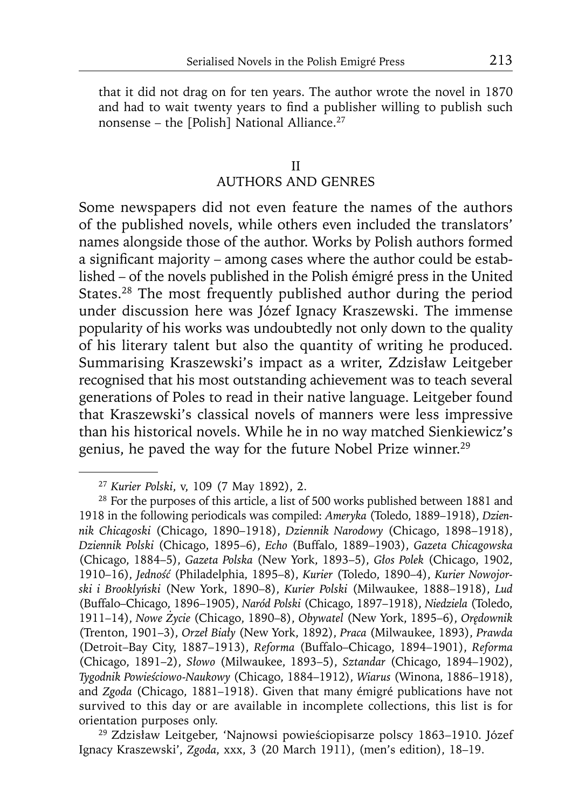that it did not drag on for ten years. The author wrote the novel in 1870 and had to wait twenty years to find a publisher willing to publish such nonsense – the [Polish] National Alliance.27

#### II

# AUTHORS AND GENRES

Some newspapers did not even feature the names of the authors of the published novels, while others even included the translators' names alongside those of the author. Works by Polish authors formed a significant majority – among cases where the author could be established – of the novels published in the Polish émigré press in the United States.28 The most frequently published author during the period under discussion here was Józef Ignacy Kraszewski. The immense popularity of his works was undoubtedly not only down to the quality of his literary talent but also the quantity of writing he produced. Summarising Kraszewski's impact as a writer, Zdzisław Leitgeber recognised that his most outstanding achievement was to teach several generations of Poles to read in their native language. Leitgeber found that Kraszewski's classical novels of manners were less impressive than his historical novels. While he in no way matched Sienkiewicz's genius, he paved the way for the future Nobel Prize winner.<sup>29</sup>

Ignacy Kraszewski', *Zgoda*, xxx, 3 (20 March 1911), (men's edition), 18–19.

<sup>27</sup>*Kurier Polski*, v, 109 (7 May 1892), 2.

<sup>&</sup>lt;sup>28</sup> For the purposes of this article, a list of 500 works published between 1881 and 1918 in the following periodicals was compiled: *Ameryka* (Toledo, 1889–1918), *Dziennik Chicagoski* (Chicago, 1890–1918), *Dziennik Narodowy* (Chicago, 1898–1918), *Dziennik Polski* (Chicago, 1895–6), *Echo* (Buffalo, 1889–1903), *Gazeta Chicagowska* (Chicago, 1884–5), *Gazeta Polska* (New York, 1893–5), *Głos Polek* (Chicago, 1902, 1910–16), *Jedność* (Philadelphia, 1895–8), *Kurier* (Toledo, 1890–4), *Kurier Nowojorski i Brooklyński* (New York, 1890–8), *Kurier Polski* (Milwaukee, 1888–1918), *Lud* (Buffalo–Chicago, 1896–1905), *Naród Polski* (Chicago, 1897–1918), *Niedziela* (Toledo, 1911–14), *Nowe Życie* (Chicago, 1890–8), *Obywatel* (New York, 1895–6), *Orędownik* (Trenton, 1901–3), *Orzeł Biały* (New York, 1892), *Praca* (Milwaukee, 1893), *Prawda* (Detroit–Bay City, 1887–1913), *Reforma* (Buffalo–Chicago, 1894–1901), *Reforma* (Chicago, 1891–2), *Słowo* (Milwaukee, 1893–5), *Sztandar* (Chicago, 1894–1902), *Tygodnik Powieściowo-Naukowy* (Chicago, 1884–1912), *Wiarus* (Winona, 1886–1918), and *Zgoda* (Chicago, 1881–1918). Given that many émigré publications have not survived to this day or are available in incomplete collections, this list is for orientation purposes only. 29 Zdzisław Leitgeber, 'Najnowsi powieściopisarze polscy 1863–1910. Józef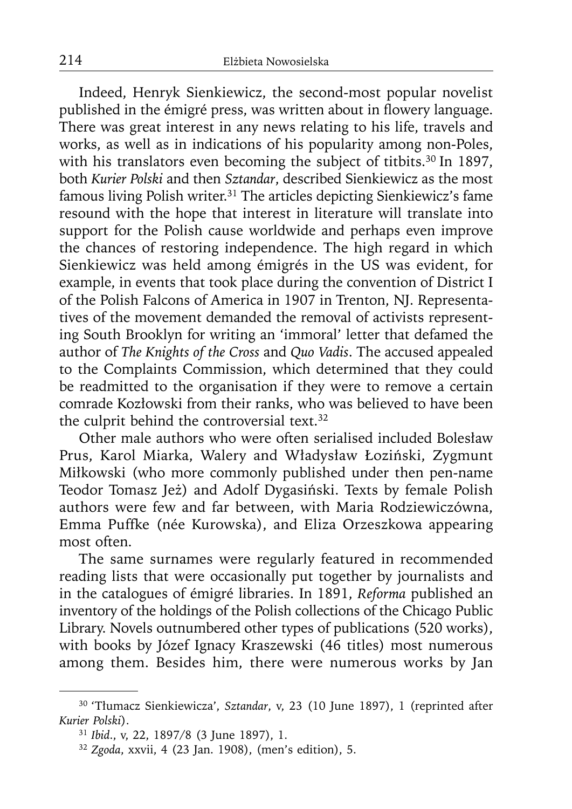Indeed, Henryk Sienkiewicz, the second-most popular novelist published in the émigré press, was written about in flowery language. There was great interest in any news relating to his life, travels and works, as well as in indications of his popularity among non-Poles, with his translators even becoming the subject of titbits.<sup>30</sup> In 1897, both *Kurier Polski* and then *Sztandar*, described Sienkiewicz as the most famous living Polish writer.31 The articles depicting Sienkiewicz's fame resound with the hope that interest in literature will translate into support for the Polish cause worldwide and perhaps even improve the chances of restoring independence. The high regard in which Sienkiewicz was held among émigrés in the US was evident, for example, in events that took place during the convention of District I of the Polish Falcons of America in 1907 in Trenton, NJ. Representatives of the movement demanded the removal of activists representing South Brooklyn for writing an 'immoral' letter that defamed the author of *The Knights of the Cross* and *Quo Vadis*. The accused appealed to the Complaints Commission, which determined that they could be readmitted to the organisation if they were to remove a certain comrade Kozłowski from their ranks, who was believed to have been the culprit behind the controversial text.<sup>32</sup>

Other male authors who were often serialised included Bolesław Prus, Karol Miarka, Walery and Władysław Łoziński, Zygmunt Miłkowski (who more commonly published under then pen-name Teodor Tomasz Jeż) and Adolf Dygasiński. Texts by female Polish authors were few and far between, with Maria Rodziewiczówna, Emma Puffke (née Kurowska), and Eliza Orzeszkowa appearing most often.

The same surnames were regularly featured in recommended reading lists that were occasionally put together by journalists and in the catalogues of émigré libraries. In 1891, *Reforma* published an inventory of the holdings of the Polish collections of the Chicago Public Library. Novels outnumbered other types of publications (520 works), with books by Józef Ignacy Kraszewski (46 titles) most numerous among them. Besides him, there were numerous works by Jan

<sup>30 &#</sup>x27;Tłumacz Sienkiewicza', *Sztandar*, v, 23 (10 June 1897), 1 (reprinted after *Kurier Polski*).

<sup>31</sup>*Ibid*., v, 22, 1897/8 (3 June 1897), 1.

<sup>32</sup> *Zgoda*, xxvii, 4 (23 Jan. 1908), (men's edition), 5.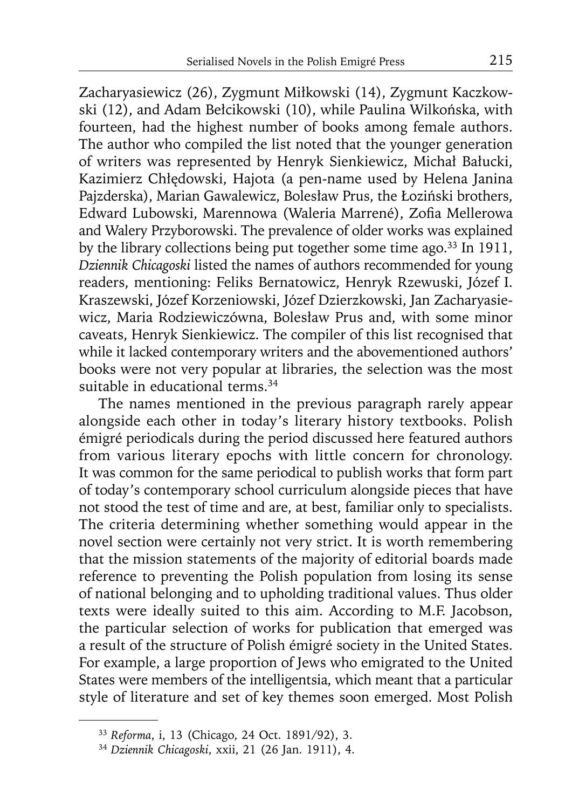Zacharyasiewicz (26), Zygmunt Miłkowski (14), Zygmunt Kaczkowski (12), and Adam Bełcikowski (10), while Paulina Wilkońska, with fourteen, had the highest number of books among female authors. The author who compiled the list noted that the younger generation of writers was represented by Henryk Sienkiewicz, Michał Bałucki, Kazimierz Chłędowski, Hajota (a pen-name used by Helena Janina Pajzderska), Marian Gawalewicz, Bolesław Prus, the Łoziński brothers, Edward Lubowski, Marennowa (Waleria Marrené), Zofia Mellerowa and Walery Przyborowski. The prevalence of older works was explained by the library collections being put together some time ago.<sup>33</sup> In 1911, *Dziennik Chicagoski* listed the names of authors recommended for young readers, mentioning: Feliks Bernatowicz, Henryk Rzewuski, Józef I. Kraszewski, Józef Korzeniowski, Józef Dzierzkowski, Jan Zacharyasiewicz, Maria Rodziewiczówna, Bolesław Prus and, with some minor caveats, Henryk Sienkiewicz. The compiler of this list recognised that while it lacked contemporary writers and the abovementioned authors' books were not very popular at libraries, the selection was the most suitable in educational terms.<sup>34</sup>

The names mentioned in the previous paragraph rarely appear alongside each other in today's literary history textbooks. Polish émigré periodicals during the period discussed here featured authors from various literary epochs with little concern for chronology. It was common for the same periodical to publish works that form part of today's contemporary school curriculum alongside pieces that have not stood the test of time and are, at best, familiar only to specialists. The criteria determining whether something would appear in the novel section were certainly not very strict. It is worth remembering that the mission statements of the majority of editorial boards made reference to preventing the Polish population from losing its sense of national belonging and to upholding traditional values. Thus older texts were ideally suited to this aim. According to M.F. Jacobson, the particular selection of works for publication that emerged was a result of the structure of Polish émigré society in the United States. For example, a large proportion of Jews who emigrated to the United States were members of the intelligentsia, which meant that a particular style of literature and set of key themes soon emerged. Most Polish

<sup>33</sup>*Reforma*, i, 13 (Chicago, 24 Oct. 1891/92), 3.

<sup>34</sup> *Dziennik Chicagoski*, xxii, 21 (26 Jan. 1911), 4.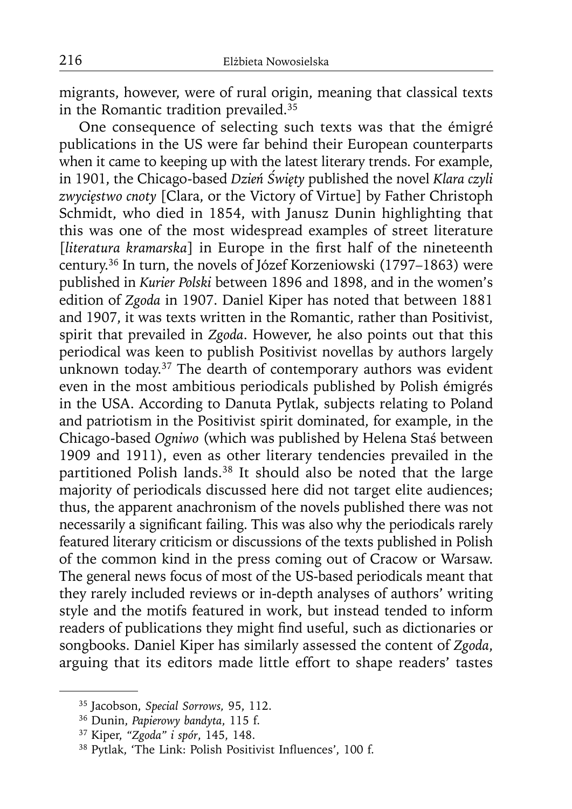migrants, however, were of rural origin, meaning that classical texts in the Romantic tradition prevailed. $35$ 

One consequence of selecting such texts was that the émigré publications in the US were far behind their European counterparts when it came to keeping up with the latest literary trends. For example, in 1901, the Chicago-based *Dzień Święty* published the novel *Klara czyli zwycięstwo cnoty* [Clara, or the Victory of Virtue] by Father Christoph Schmidt, who died in 1854, with Janusz Dunin highlighting that this was one of the most widespread examples of street literature [*literatura kramarska*] in Europe in the first half of the nineteenth century.36 In turn, the novels of Józef Korzeniowski (1797–1863) were published in *Kurier Polski* between 1896 and 1898, and in the women's edition of *Zgoda* in 1907. Daniel Kiper has noted that between 1881 and 1907, it was texts written in the Romantic, rather than Positivist, spirit that prevailed in *Zgoda*. However, he also points out that this periodical was keen to publish Positivist novellas by authors largely unknown today.<sup>37</sup> The dearth of contemporary authors was evident even in the most ambitious periodicals published by Polish émigrés in the USA. According to Danuta Pytlak, subjects relating to Poland and patriotism in the Positivist spirit dominated, for example, in the Chicago-based *Ogniwo* (which was published by Helena Staś between 1909 and 1911), even as other literary tendencies prevailed in the partitioned Polish lands.<sup>38</sup> It should also be noted that the large majority of periodicals discussed here did not target elite audiences; thus, the apparent anachronism of the novels published there was not necessarily a significant failing. This was also why the periodicals rarely featured literary criticism or discussions of the texts published in Polish of the common kind in the press coming out of Cracow or Warsaw. The general news focus of most of the US-based periodicals meant that they rarely included reviews or in-depth analyses of authors' writing style and the motifs featured in work, but instead tended to inform readers of publications they might find useful, such as dictionaries or songbooks. Daniel Kiper has similarly assessed the content of *Zgoda*, arguing that its editors made little effort to shape readers' tastes

<sup>35</sup> Jacobson, *Special Sorrows,* 95, 112.

<sup>36</sup> Dunin, *Papierowy bandyta*, 115 f.

<sup>37</sup> Kiper, *"Zgoda" i spór*, 145, 148.

<sup>&</sup>lt;sup>38</sup> Pytlak, 'The Link: Polish Positivist Influences', 100 f.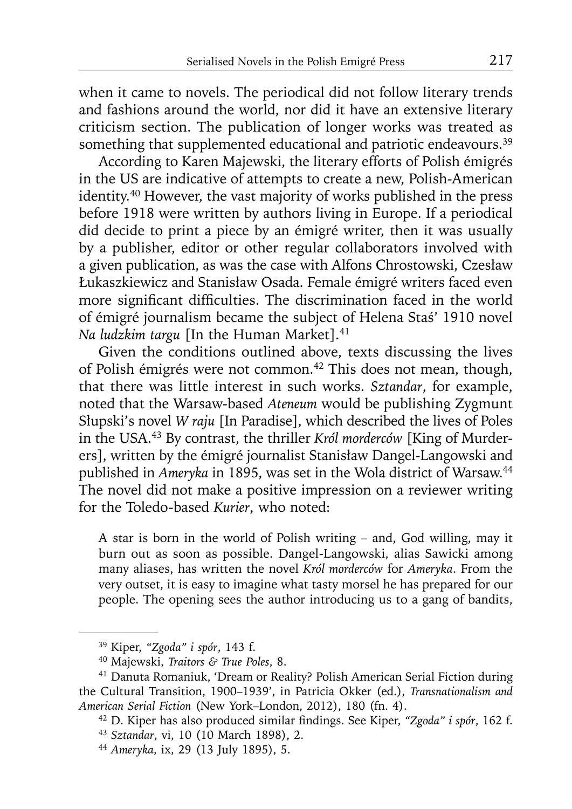when it came to novels. The periodical did not follow literary trends and fashions around the world, nor did it have an extensive literary criticism section. The publication of longer works was treated as something that supplemented educational and patriotic endeavours.<sup>39</sup>

According to Karen Majewski, the literary efforts of Polish émigrés in the US are indicative of attempts to create a new, Polish-American identity.40 However, the vast majority of works published in the press before 1918 were written by authors living in Europe. If a periodical did decide to print a piece by an émigré writer, then it was usually by a publisher, editor or other regular collaborators involved with a given publication, as was the case with Alfons Chrostowski, Czesław Łukaszkiewicz and Stanisław Osada. Female émigré writers faced even more significant difficulties. The discrimination faced in the world of émigré journalism became the subject of Helena Staś' 1910 novel *Na ludzkim targu* [In the Human Market].<sup>41</sup>

Given the conditions outlined above, texts discussing the lives of Polish émigrés were not common.42 This does not mean, though, that there was little interest in such works. *Sztandar*, for example, noted that the Warsaw-based *Ateneum* would be publishing Zygmunt Słupski's novel *W raju* [In Paradise], which described the lives of Poles in the USA.43 By contrast, the thriller *Król morderców* [King of Murderers], written by the émigré journalist Stanisław Dangel-Langowski and published in *Ameryka* in 1895, was set in the Wola district of Warsaw.44 The novel did not make a positive impression on a reviewer writing for the Toledo-based *Kurier*, who noted:

A star is born in the world of Polish writing – and, God willing, may it burn out as soon as possible. Dangel-Langowski, alias Sawicki among many aliases, has written the novel *Król morderców* for *Ameryka*. From the very outset, it is easy to imagine what tasty morsel he has prepared for our people. The opening sees the author introducing us to a gang of bandits,

<sup>39</sup> Kiper, *"Zgoda" i spór*, 143 f.

<sup>40</sup> Majewski, *Traitors & True Poles*, 8.

<sup>41</sup> Danuta Romaniuk, 'Dream or Reality? Polish American Serial Fiction during the Cultural Transition, 1900–1939', in Patricia Okker (ed.), *Transnationalism and American Serial Fiction* (New York–London, 2012), 180 (fn. 4).

<sup>&</sup>lt;sup>42</sup> D. Kiper has also produced similar findings. See Kiper, "Zgoda" i spór, 162 f.

<sup>43</sup>*Sztandar*, vi, 10 (10 March 1898), 2.

<sup>44</sup> *Ameryka*, ix, 29 (13 July 1895), 5.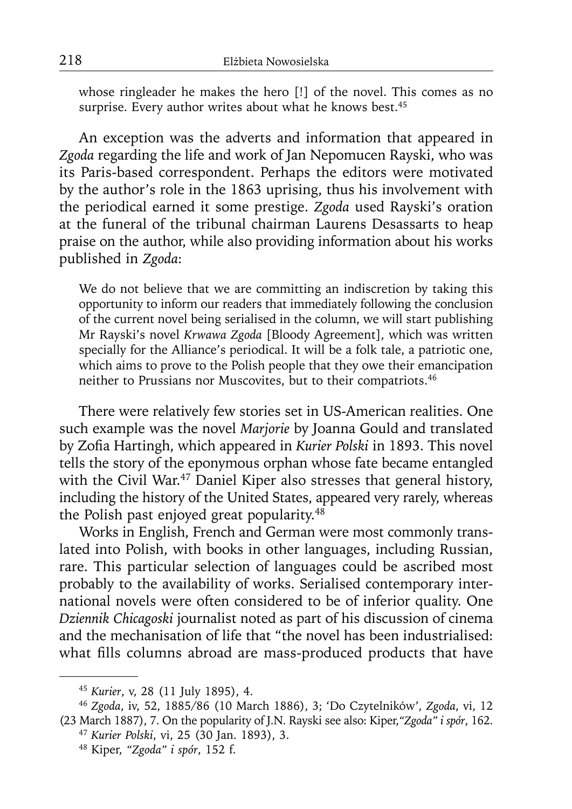whose ringleader he makes the hero [!] of the novel. This comes as no surprise. Every author writes about what he knows best.<sup>45</sup>

An exception was the adverts and information that appeared in *Zgoda* regarding the life and work of Jan Nepomucen Rayski, who was its Paris-based correspondent. Perhaps the editors were motivated by the author's role in the 1863 uprising, thus his involvement with the periodical earned it some prestige. *Zgoda* used Rayski's oration at the funeral of the tribunal chairman Laurens Desassarts to heap praise on the author, while also providing information about his works published in *Zgoda*:

We do not believe that we are committing an indiscretion by taking this opportunity to inform our readers that immediately following the conclusion of the current novel being serialised in the column, we will start publishing Mr Rayski's novel *Krwawa Zgoda* [Bloody Agreement], which was written specially for the Alliance's periodical. It will be a folk tale, a patriotic one, which aims to prove to the Polish people that they owe their emancipation neither to Prussians nor Muscovites, but to their compatriots.46

There were relatively few stories set in US-American realities. One such example was the novel *Marjorie* by Joanna Gould and translated by Zofia Hartingh, which appeared in *Kurier Polski* in 1893. This novel tells the story of the eponymous orphan whose fate became entangled with the Civil War.<sup>47</sup> Daniel Kiper also stresses that general history, including the history of the United States, appeared very rarely, whereas the Polish past enjoyed great popularity.<sup>48</sup>

Works in English, French and German were most commonly translated into Polish, with books in other languages, including Russian, rare. This particular selection of languages could be ascribed most probably to the availability of works. Serialised contemporary international novels were often considered to be of inferior quality. One *Dziennik Chicagoski* journalist noted as part of his discussion of cinema and the mechanisation of life that "the novel has been industrialised: what fills columns abroad are mass-produced products that have

<sup>45</sup>*Kurier*, v, 28 (11 July 1895), 4.

<sup>46</sup>*Zgoda*, iv, 52, 1885/86 (10 March 1886), 3; 'Do Czytelników', *Zgoda*, vi, 12 (23 March 1887), 7. On the popularity of J.N. Rayski see also: Kiper,*"Zgoda" i spór*, 162.

<sup>47</sup>*Kurier Polski*, vi, 25 (30 Jan. 1893), 3.

<sup>48</sup> Kiper, *"Zgoda" i spór*, 152 f.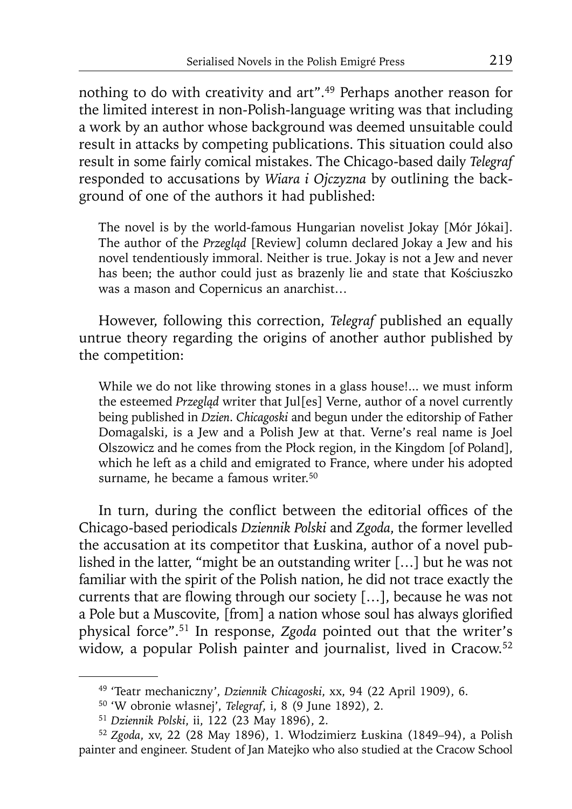nothing to do with creativity and art".<sup>49</sup> Perhaps another reason for the limited interest in non-Polish-language writing was that including a work by an author whose background was deemed unsuitable could result in attacks by competing publications. This situation could also result in some fairly comical mistakes. The Chicago-based daily *Telegraf* responded to accusations by *Wiara i Ojczyzna* by outlining the background of one of the authors it had published:

The novel is by the world-famous Hungarian novelist Jokay [Mór Jókai]. The author of the *Przegląd* [Review] column declared Jokay a Jew and his novel tendentiously immoral. Neither is true. Jokay is not a Jew and never has been; the author could just as brazenly lie and state that Kościuszko was a mason and Copernicus an anarchist…

However, following this correction, *Telegraf* published an equally untrue theory regarding the origins of another author published by the competition:

While we do not like throwing stones in a glass house!... we must inform the esteemed *Przegląd* writer that Jul[es] Verne, author of a novel currently being published in *Dzien*. *Chicagoski* and begun under the editorship of Father Domagalski, is a Jew and a Polish Jew at that. Verne's real name is Joel Olszowicz and he comes from the Płock region, in the Kingdom [of Poland], which he left as a child and emigrated to France, where under his adopted surname, he became a famous writer.<sup>50</sup>

In turn, during the conflict between the editorial offices of the Chicago-based periodicals *Dziennik Polski* and *Zgoda*, the former levelled the accusation at its competitor that Łuskina, author of a novel published in the latter, "might be an outstanding writer […] but he was not familiar with the spirit of the Polish nation, he did not trace exactly the currents that are flowing through our society  $[...]$ , because he was not a Pole but a Muscovite, [from] a nation whose soul has always glorified physical force".51 In response, *Zgoda* pointed out that the writer's widow, a popular Polish painter and journalist, lived in Cracow.52

<sup>49 &#</sup>x27;Teatr mechaniczny', *Dziennik Chicagoski*, xx, 94 (22 April 1909), 6.

<sup>50 &#</sup>x27;W obronie własnej', *Telegraf*, i, 8 (9 June 1892), 2.

<sup>51</sup>*Dziennik Polski*, ii, 122 (23 May 1896), 2.

<sup>52</sup>*Zgoda*, xv, 22 (28 May 1896), 1. Włodzimierz Łuskina (1849*–*94), a Polish painter and engineer. Student of Jan Matejko who also studied at the Cracow School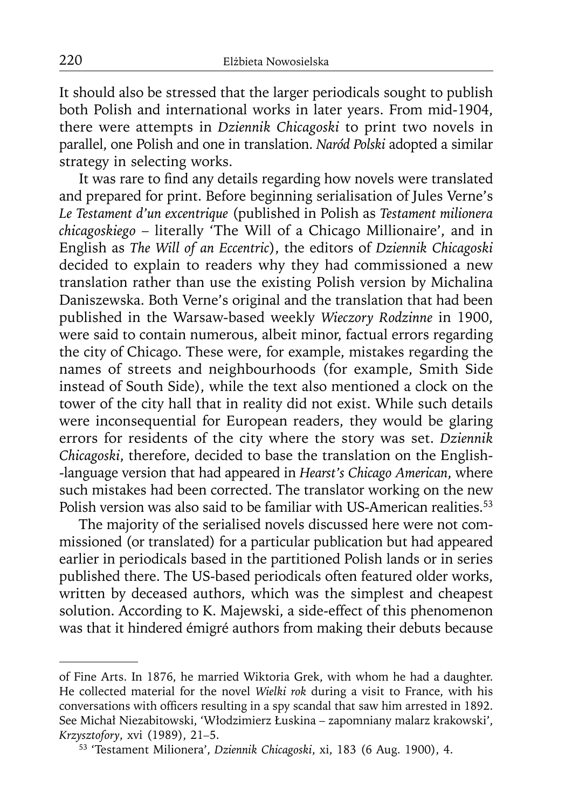It should also be stressed that the larger periodicals sought to publish both Polish and international works in later years. From mid-1904, there were attempts in *Dziennik Chicagoski* to print two novels in parallel, one Polish and one in translation. *Naród Polski* adopted a similar strategy in selecting works.

It was rare to find any details regarding how novels were translated and prepared for print. Before beginning serialisation of Jules Verne's *Le Testament d'un excentrique* (published in Polish as *Testament milionera chicagoskiego* – literally 'The Will of a Chicago Millionaire', and in English as *The Will of an Eccentric*), the editors of *Dziennik Chicagoski* decided to explain to readers why they had commissioned a new translation rather than use the existing Polish version by Michalina Daniszewska. Both Verne's original and the translation that had been published in the Warsaw-based weekly *Wieczory Rodzinne* in 1900, were said to contain numerous, albeit minor, factual errors regarding the city of Chicago. These were, for example, mistakes regarding the names of streets and neighbourhoods (for example, Smith Side instead of South Side), while the text also mentioned a clock on the tower of the city hall that in reality did not exist. While such details were inconsequential for European readers, they would be glaring errors for residents of the city where the story was set. *Dziennik Chicagoski*, therefore, decided to base the translation on the English- -language version that had appeared in *Hearst's Chicago American*, where such mistakes had been corrected. The translator working on the new Polish version was also said to be familiar with US-American realities.<sup>53</sup>

The majority of the serialised novels discussed here were not commissioned (or translated) for a particular publication but had appeared earlier in periodicals based in the partitioned Polish lands or in series published there. The US-based periodicals often featured older works, written by deceased authors, which was the simplest and cheapest solution. According to K. Majewski, a side-effect of this phenomenon was that it hindered émigré authors from making their debuts because

of Fine Arts. In 1876, he married Wiktoria Grek, with whom he had a daughter. He collected material for the novel *Wielki rok* during a visit to France, with his conversations with officers resulting in a spy scandal that saw him arrested in 1892. See Michał Niezabitowski, 'Włodzimierz Łuskina – zapomniany malarz krakowski', *Krzysztofory*, xvi (1989), 21*–*5.

<sup>53 &#</sup>x27;Testament Milionera', *Dziennik Chicagoski*, xi, 183 (6 Aug. 1900), 4.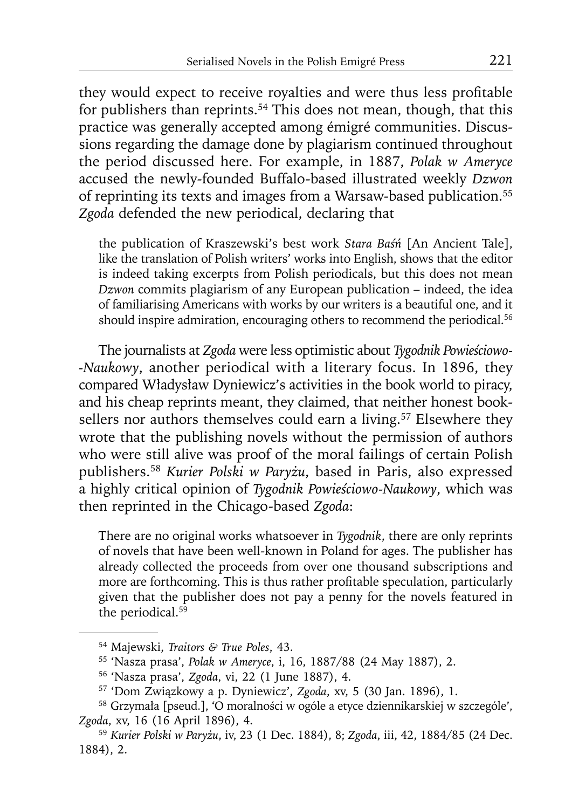they would expect to receive royalties and were thus less profitable for publishers than reprints.<sup>54</sup> This does not mean, though, that this practice was generally accepted among émigré communities. Discussions regarding the damage done by plagiarism continued throughout the period discussed here. For example, in 1887, *Polak w Ameryce* accused the newly-founded Buffalo-based illustrated weekly *Dzwon* of reprinting its texts and images from a Warsaw-based publication.55 *Zgoda* defended the new periodical, declaring that

the publication of Kraszewski's best work *Stara Baśń* [An Ancient Tale], like the translation of Polish writers' works into English, shows that the editor is indeed taking excerpts from Polish periodicals, but this does not mean *Dzwon* commits plagiarism of any European publication – indeed, the idea of familiarising Americans with works by our writers is a beautiful one, and it should inspire admiration, encouraging others to recommend the periodical.<sup>56</sup>

The journalists at *Zgoda* were less optimistic about *Tygodnik Powieściowo- -Naukowy*, another periodical with a literary focus. In 1896, they compared Władysław Dyniewicz's activities in the book world to piracy, and his cheap reprints meant, they claimed, that neither honest booksellers nor authors themselves could earn a living.<sup>57</sup> Elsewhere they wrote that the publishing novels without the permission of authors who were still alive was proof of the moral failings of certain Polish publishers.58 *Kurier Polski w Paryżu*, based in Paris, also expressed a highly critical opinion of *Tygodnik Powieściowo-Naukowy*, which was then reprinted in the Chicago-based *Zgoda*:

There are no original works whatsoever in *Tygodnik*, there are only reprints of novels that have been well-known in Poland for ages. The publisher has already collected the proceeds from over one thousand subscriptions and more are forthcoming. This is thus rather profitable speculation, particularly given that the publisher does not pay a penny for the novels featured in the periodical.59

<sup>54</sup> Majewski, *Traitors & True Poles*, 43.

<sup>55 &#</sup>x27;Nasza prasa', *Polak w Ameryce*, i, 16, 1887/88 (24 May 1887), 2.

<sup>56 &#</sup>x27;Nasza prasa', *Zgoda*, vi, 22 (1 June 1887), 4.

<sup>57 &#</sup>x27;Dom Związkowy a p. Dyniewicz', *Zgoda*, xv, 5 (30 Jan. 1896), 1.

<sup>58</sup> Grzymała [pseud.], 'O moralności w ogóle a etyce dziennikarskiej w szczególe', *Zgoda*, xv, 16 (16 April 1896), 4.

<sup>59</sup>*Kurier Polski w Paryżu*, iv, 23 (1 Dec. 1884), 8; *Zgoda*, iii, 42, 1884/85 (24 Dec. 1884), 2.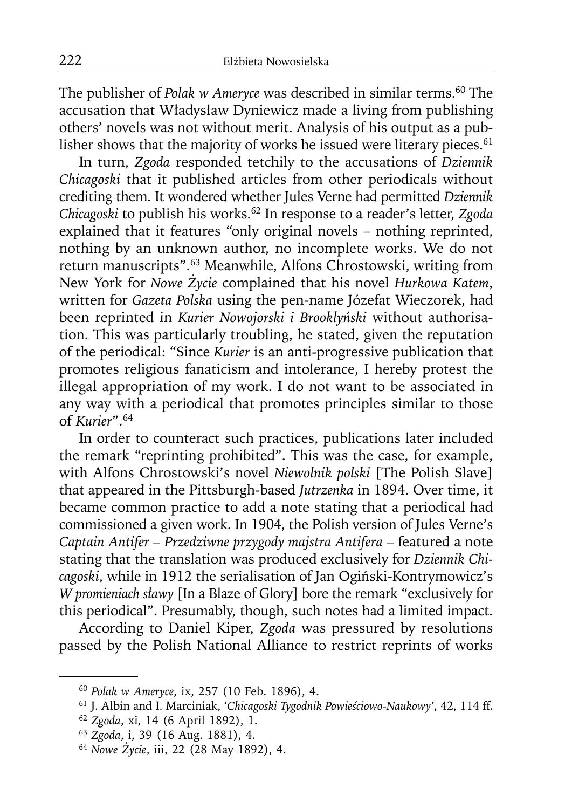The publisher of *Polak w Ameryce* was described in similar terms.<sup>60</sup> The accusation that Władysław Dyniewicz made a living from publishing others' novels was not without merit. Analysis of his output as a publisher shows that the majority of works he issued were literary pieces.<sup>61</sup>

In turn, *Zgoda* responded tetchily to the accusations of *Dziennik Chicagoski* that it published articles from other periodicals without crediting them. It wondered whether Jules Verne had permitted *Dziennik Chicagoski* to publish his works.62 In response to a reader's letter, *Zgoda* explained that it features "only original novels – nothing reprinted, nothing by an unknown author, no incomplete works. We do not return manuscripts".63 Meanwhile, Alfons Chrostowski, writing from New York for *Nowe Życie* complained that his novel *Hurkowa Katem*, written for *Gazeta Polska* using the pen-name Józefat Wieczorek, had been reprinted in *Kurier Nowojorski i Brooklyński* without authorisation. This was particularly troubling, he stated, given the reputation of the periodical: "Since *Kurier* is an anti-progressive publication that promotes religious fanaticism and intolerance, I hereby protest the illegal appropriation of my work. I do not want to be associated in any way with a periodical that promotes principles similar to those of *Kurier*".64

In order to counteract such practices, publications later included the remark "reprinting prohibited". This was the case, for example, with Alfons Chrostowski's novel *Niewolnik polski* [The Polish Slave] that appeared in the Pittsburgh-based *Jutrzenka* in 1894. Over time, it became common practice to add a note stating that a periodical had commissioned a given work. In 1904, the Polish version of Jules Verne's *Captain Antifer – Przedziwne przygody majstra Antifera –* featured a note stating that the translation was produced exclusively for *Dziennik Chicagoski*, while in 1912 the serialisation of Jan Ogiński-Kontrymowicz's *W promieniach sławy* [In a Blaze of Glory] bore the remark "exclusively for this periodical". Presumably, though, such notes had a limited impact.

According to Daniel Kiper, *Zgoda* was pressured by resolutions passed by the Polish National Alliance to restrict reprints of works

<sup>60</sup>*Polak w Ameryce*, ix, 257 (10 Feb. 1896), 4.

<sup>61</sup> J. Albin and I. Marciniak, '*Chicagoski Tygodnik Powieściowo-Naukowy'*, 42, 114 ff.

<sup>62</sup>*Zgoda*, xi, 14 (6 April 1892), 1.

<sup>63</sup>*Zgoda*, i, 39 (16 Aug. 1881), 4.

<sup>64</sup> *Nowe Życie*, iii, 22 (28 May 1892), 4.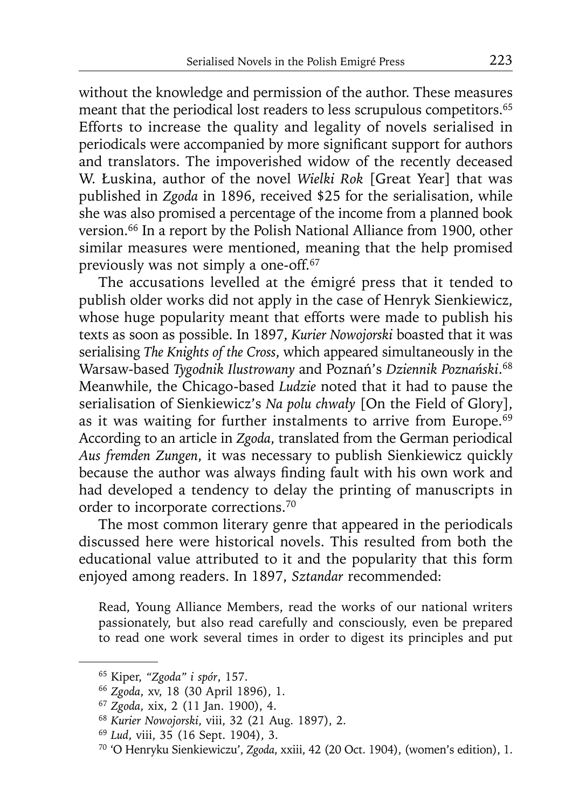without the knowledge and permission of the author. These measures meant that the periodical lost readers to less scrupulous competitors.<sup>65</sup> Efforts to increase the quality and legality of novels serialised in periodicals were accompanied by more significant support for authors and translators. The impoverished widow of the recently deceased W. Łuskina, author of the novel *Wielki Rok* [Great Year] that was published in *Zgoda* in 1896, received \$25 for the serialisation, while she was also promised a percentage of the income from a planned book version.66 In a report by the Polish National Alliance from 1900, other similar measures were mentioned, meaning that the help promised previously was not simply a one-off.67

The accusations levelled at the émigré press that it tended to publish older works did not apply in the case of Henryk Sienkiewicz, whose huge popularity meant that efforts were made to publish his texts as soon as possible. In 1897, *Kurier Nowojorski* boasted that it was serialising *The Knights of the Cross*, which appeared simultaneously in the Warsaw-based *Tygodnik Ilustrowany* and Poznań's *Dziennik Poznański*. 68 Meanwhile, the Chicago-based *Ludzie* noted that it had to pause the serialisation of Sienkiewicz's *Na polu chwały* [On the Field of Glory], as it was waiting for further instalments to arrive from Europe.<sup>69</sup> According to an article in *Zgoda*, translated from the German periodical *Aus fremden Zungen*, it was necessary to publish Sienkiewicz quickly because the author was always finding fault with his own work and had developed a tendency to delay the printing of manuscripts in order to incorporate corrections.70

The most common literary genre that appeared in the periodicals discussed here were historical novels. This resulted from both the educational value attributed to it and the popularity that this form enjoyed among readers. In 1897, *Sztandar* recommended:

Read, Young Alliance Members, read the works of our national writers passionately, but also read carefully and consciously, even be prepared to read one work several times in order to digest its principles and put

<sup>65</sup> Kiper, *"Zgoda" i spór*, 157.

<sup>66</sup>*Zgoda*, xv, 18 (30 April 1896), 1.

<sup>67</sup>*Zgoda*, xix, 2 (11 Jan. 1900), 4.

<sup>68</sup>*Kurier Nowojorski*, viii, 32 (21 Aug. 1897), 2.

<sup>69</sup>*Lud*, viii, 35 (16 Sept. 1904), 3.

<sup>70 &#</sup>x27;O Henryku Sienkiewiczu', *Zgoda*, xxiii, 42 (20 Oct. 1904), (women's edition), 1.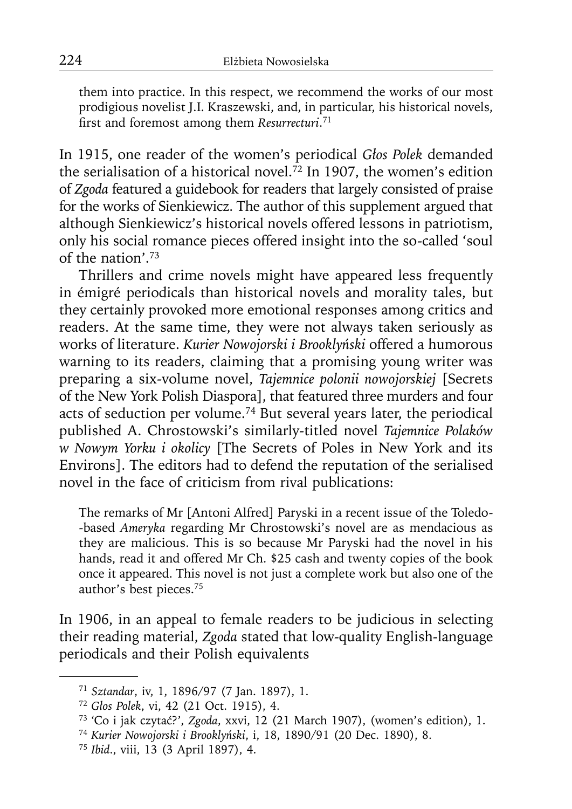them into practice. In this respect, we recommend the works of our most prodigious novelist J.I. Kraszewski, and, in particular, his historical novels, first and foremost among them *Resurrecturi*.<sup>71</sup>

In 1915, one reader of the women's periodical *Głos Polek* demanded the serialisation of a historical novel.<sup> $\bar{72}$ </sup> In 1907, the women's edition of *Zgoda* featured a guidebook for readers that largely consisted of praise for the works of Sienkiewicz. The author of this supplement argued that although Sienkiewicz's historical novels offered lessons in patriotism, only his social romance pieces offered insight into the so-called 'soul of the nation'.73

Thrillers and crime novels might have appeared less frequently in émigré periodicals than historical novels and morality tales, but they certainly provoked more emotional responses among critics and readers. At the same time, they were not always taken seriously as works of literature. *Kurier Nowojorski i Brooklyński* offered a humorous warning to its readers, claiming that a promising young writer was preparing a six-volume novel, *Tajemnice polonii nowojorskiej* [Secrets of the New York Polish Diaspora], that featured three murders and four acts of seduction per volume.74 But several years later, the periodical published A. Chrostowski's similarly-titled novel *Tajemnice Polaków w Nowym Yorku i okolicy* [The Secrets of Poles in New York and its Environs]. The editors had to defend the reputation of the serialised novel in the face of criticism from rival publications:

The remarks of Mr [Antoni Alfred] Paryski in a recent issue of the Toledo- -based *Ameryka* regarding Mr Chrostowski's novel are as mendacious as they are malicious. This is so because Mr Paryski had the novel in his hands, read it and offered Mr Ch. \$25 cash and twenty copies of the book once it appeared. This novel is not just a complete work but also one of the author's best pieces.75

In 1906, in an appeal to female readers to be judicious in selecting their reading material, *Zgoda* stated that low-quality English-language periodicals and their Polish equivalents

<sup>71</sup>*Sztandar*, iv, 1, 1896/97 (7 Jan. 1897), 1.

<sup>72</sup>*Głos Polek*, vi, 42 (21 Oct. 1915), 4.

<sup>73 &#</sup>x27;Co i jak czytać?', *Zgoda*, xxvi, 12 (21 March 1907), (women's edition), 1.

<sup>74</sup>*Kurier Nowojorski i Brooklyński*, i, 18, 1890/91 (20 Dec. 1890), 8.

<sup>75</sup> *Ibid*., viii, 13 (3 April 1897), 4.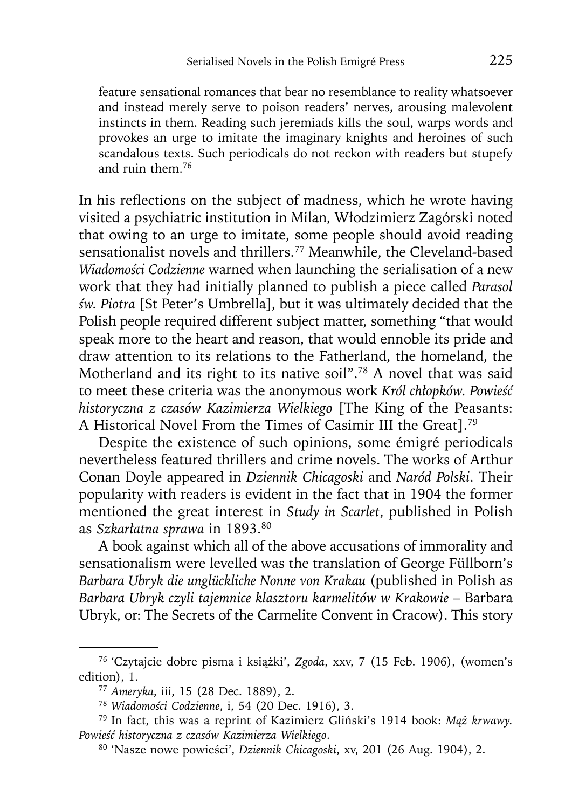feature sensational romances that bear no resemblance to reality whatsoever and instead merely serve to poison readers' nerves, arousing malevolent instincts in them. Reading such jeremiads kills the soul, warps words and provokes an urge to imitate the imaginary knights and heroines of such scandalous texts. Such periodicals do not reckon with readers but stupefy and ruin them.76

In his reflections on the subject of madness, which he wrote having visited a psychiatric institution in Milan, Włodzimierz Zagórski noted that owing to an urge to imitate, some people should avoid reading sensationalist novels and thrillers.<sup>77</sup> Meanwhile, the Cleveland-based *Wiadomości Codzienne* warned when launching the serialisation of a new work that they had initially planned to publish a piece called *Parasol św. Piotra* [St Peter's Umbrella], but it was ultimately decided that the Polish people required different subject matter, something "that would speak more to the heart and reason, that would ennoble its pride and draw attention to its relations to the Fatherland, the homeland, the Motherland and its right to its native soil".78 A novel that was said to meet these criteria was the anonymous work *Król chłopków. Powieść historyczna z czasów Kazimierza Wielkiego* [The King of the Peasants: A Historical Novel From the Times of Casimir III the Great].79

Despite the existence of such opinions, some émigré periodicals nevertheless featured thrillers and crime novels. The works of Arthur Conan Doyle appeared in *Dziennik Chicagoski* and *Naród Polski*. Their popularity with readers is evident in the fact that in 1904 the former mentioned the great interest in *Study in Scarlet*, published in Polish as *Szkarłatna sprawa* in 1893.80

A book against which all of the above accusations of immorality and sensationalism were levelled was the translation of George Füllborn's *Barbara Ubryk die unglückliche Nonne von Krakau* (published in Polish as Barbara Ubryk czyli tajemnice klasztoru karmelitów w Krakowie – Barbara Ubryk, or: The Secrets of the Carmelite Convent in Cracow). This story

<sup>76 &#</sup>x27;Czytajcie dobre pisma i książki', *Zgoda*, xxv, 7 (15 Feb. 1906), (women's edition), 1.

<sup>77</sup>*Ameryka*, iii, 15 (28 Dec. 1889), 2.

<sup>78</sup>*Wiadomości Codzienne*, i, 54 (20 Dec. 1916), 3.

<sup>79</sup> In fact, this was a reprint of Kazimierz Gliński's 1914 book: *Mąż krwawy. Powieść historyczna z czasów Kazimierza Wielkiego*.

<sup>80 &#</sup>x27;Nasze nowe powieści', *Dziennik Chicagoski*, xv, 201 (26 Aug. 1904), 2.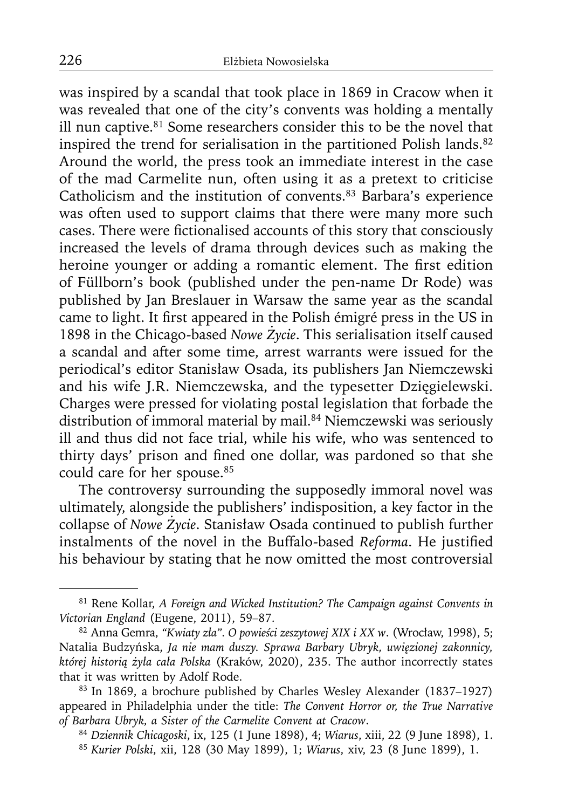was inspired by a scandal that took place in 1869 in Cracow when it was revealed that one of the city's convents was holding a mentally ill nun captive.<sup>81</sup> Some researchers consider this to be the novel that inspired the trend for serialisation in the partitioned Polish lands.<sup>82</sup> Around the world, the press took an immediate interest in the case of the mad Carmelite nun, often using it as a pretext to criticise Catholicism and the institution of convents.83 Barbara's experience was often used to support claims that there were many more such cases. There were fictionalised accounts of this story that consciously increased the levels of drama through devices such as making the heroine younger or adding a romantic element. The first edition of Füllborn's book (published under the pen-name Dr Rode) was published by Jan Breslauer in Warsaw the same year as the scandal came to light. It first appeared in the Polish émigré press in the US in 1898 in the Chicago-based *Nowe Życie*. This serialisation itself caused a scandal and after some time, arrest warrants were issued for the periodical's editor Stanisław Osada, its publishers Jan Niemczewski and his wife J.R. Niemczewska, and the typesetter Dzięgielewski. Charges were pressed for violating postal legislation that forbade the distribution of immoral material by mail.84 Niemczewski was seriously ill and thus did not face trial, while his wife, who was sentenced to thirty days' prison and fined one dollar, was pardoned so that she could care for her spouse.<sup>85</sup>

The controversy surrounding the supposedly immoral novel was ultimately, alongside the publishers' indisposition, a key factor in the collapse of *Nowe Życie*. Stanisław Osada continued to publish further instalments of the novel in the Buffalo-based *Reforma*. He justified his behaviour by stating that he now omitted the most controversial

<sup>81</sup> Rene Kollar, *A Foreign and Wicked Institution? The Campaign against Convents in Victorian England* (Eugene, 2011), 59–87.

<sup>82</sup> Anna Gemra, *"Kwiaty zła". O powieści zeszytowej XIX i XX w*. (Wrocław, 1998), 5; Natalia Budzyńska, *Ja nie mam duszy. Sprawa Barbary Ubryk, uwięzionej zakonnicy, której historią żyła cała Polska* (Kraków, 2020), 235. The author incorrectly states that it was written by Adolf Rode.

<sup>83</sup> In 1869, a brochure published by Charles Wesley Alexander (1837–1927) appeared in Philadelphia under the title: *The Convent Horror or, the True Narrative of Barbara Ubryk, a Sister of the Carmelite Convent at Cracow*.

<sup>84</sup>*Dziennik Chicagoski*, ix, 125 (1 June 1898), 4; *Wiarus*, xiii, 22 (9 June 1898), 1. <sup>85</sup>*Kurier Polski*, xii, 128 (30 May 1899), 1; *Wiarus*, xiv, 23 (8 June 1899), 1.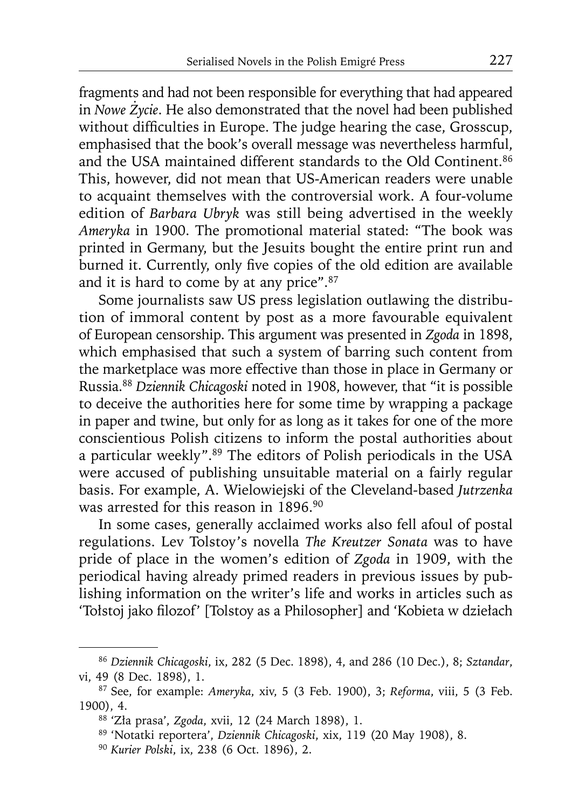fragments and had not been responsible for everything that had appeared in *Nowe Życie*. He also demonstrated that the novel had been published without difficulties in Europe. The judge hearing the case, Grosscup, emphasised that the book's overall message was nevertheless harmful, and the USA maintained different standards to the Old Continent.<sup>86</sup> This, however, did not mean that US-American readers were unable to acquaint themselves with the controversial work. A four-volume edition of *Barbara Ubryk* was still being advertised in the weekly *Ameryka* in 1900. The promotional material stated: "The book was printed in Germany, but the Jesuits bought the entire print run and burned it. Currently, only five copies of the old edition are available and it is hard to come by at any price".87

Some journalists saw US press legislation outlawing the distribution of immoral content by post as a more favourable equivalent of European censorship. This argument was presented in *Zgoda* in 1898, which emphasised that such a system of barring such content from the marketplace was more effective than those in place in Germany or Russia.88 *Dziennik Chicagoski* noted in 1908, however, that "it is possible to deceive the authorities here for some time by wrapping a package in paper and twine, but only for as long as it takes for one of the more conscientious Polish citizens to inform the postal authorities about a particular weekly".89 The editors of Polish periodicals in the USA were accused of publishing unsuitable material on a fairly regular basis. For example, A. Wielowiejski of the Cleveland-based *Jutrzenka* was arrested for this reason in 1896.<sup>90</sup>

In some cases, generally acclaimed works also fell afoul of postal regulations. Lev Tolstoy's novella *The Kreutzer Sonata* was to have pride of place in the women's edition of *Zgoda* in 1909, with the periodical having already primed readers in previous issues by publishing information on the writer's life and works in articles such as 'Tołstoj jako filozof' [Tolstoy as a Philosopher] and 'Kobieta w dziełach

<sup>86</sup>*Dziennik Chicagoski*, ix, 282 (5 Dec. 1898), 4, and 286 (10 Dec.), 8; *Sztandar*, vi, 49 (8 Dec. 1898), 1.

<sup>87</sup> See, for example: *Ameryka*, xiv, 5 (3 Feb. 1900), 3; *Reforma*, viii, 5 (3 Feb. 1900), 4.

<sup>88 &#</sup>x27;Zła prasa', *Zgoda*, xvii, 12 (24 March 1898), 1.

<sup>89 &#</sup>x27;Notatki reportera', *Dziennik Chicagoski*, xix, 119 (20 May 1908), 8.

<sup>90</sup> *Kurier Polski*, ix, 238 (6 Oct. 1896), 2.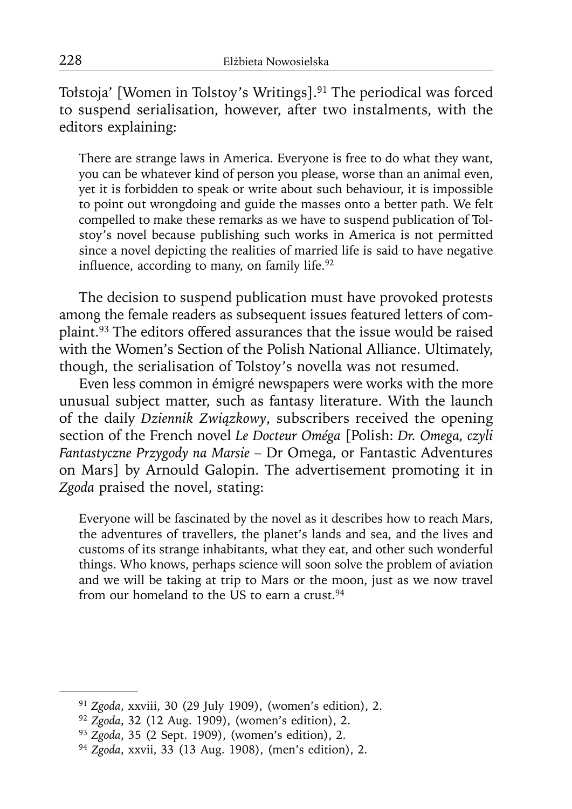Tołstoja' [Women in Tolstoy's Writings].<sup>91</sup> The periodical was forced to suspend serialisation, however, after two instalments, with the editors explaining:

There are strange laws in America. Everyone is free to do what they want, you can be whatever kind of person you please, worse than an animal even, yet it is forbidden to speak or write about such behaviour, it is impossible to point out wrongdoing and guide the masses onto a better path. We felt compelled to make these remarks as we have to suspend publication of Tolstoy's novel because publishing such works in America is not permitted since a novel depicting the realities of married life is said to have negative influence, according to many, on family life. $92$ 

The decision to suspend publication must have provoked protests among the female readers as subsequent issues featured letters of complaint.93 The editors offered assurances that the issue would be raised with the Women's Section of the Polish National Alliance. Ultimately, though, the serialisation of Tolstoy's novella was not resumed.

Even less common in émigré newspapers were works with the more unusual subject matter, such as fantasy literature. With the launch of the daily *Dziennik Związkowy*, subscribers received the opening section of the French novel *Le Docteur Oméga* [Polish: *Dr. Omega, czyli Fantastyczne Przygody na Marsie* – Dr Omega, or Fantastic Adventures on Mars] by Arnould Galopin. The advertisement promoting it in *Zgoda* praised the novel, stating:

Everyone will be fascinated by the novel as it describes how to reach Mars, the adventures of travellers, the planet's lands and sea, and the lives and customs of its strange inhabitants, what they eat, and other such wonderful things. Who knows, perhaps science will soon solve the problem of aviation and we will be taking at trip to Mars or the moon, just as we now travel from our homeland to the US to earn a crust.<sup>94</sup>

<sup>91</sup>*Zgoda*, xxviii, 30 (29 July 1909), (women's edition), 2.

<sup>92</sup>*Zgoda*, 32 (12 Aug. 1909), (women's edition), 2.

<sup>93</sup>*Zgoda*, 35 (2 Sept. 1909), (women's edition), 2.

<sup>94</sup> *Zgoda*, xxvii, 33 (13 Aug. 1908), (men's edition), 2.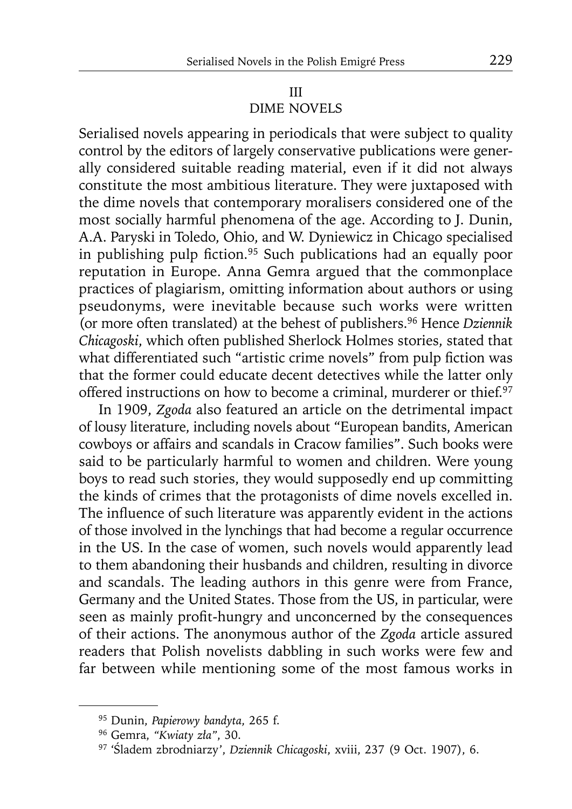### III DIME NOVELS

Serialised novels appearing in periodicals that were subject to quality control by the editors of largely conservative publications were generally considered suitable reading material, even if it did not always constitute the most ambitious literature. They were juxtaposed with the dime novels that contemporary moralisers considered one of the most socially harmful phenomena of the age. According to J. Dunin, A.A. Paryski in Toledo, Ohio, and W. Dyniewicz in Chicago specialised in publishing pulp fiction.<sup>95</sup> Such publications had an equally poor reputation in Europe. Anna Gemra argued that the commonplace practices of plagiarism, omitting information about authors or using pseudonyms, were inevitable because such works were written (or more often translated) at the behest of publishers.96 Hence *Dziennik Chicagoski*, which often published Sherlock Holmes stories, stated that what differentiated such "artistic crime novels" from pulp fiction was that the former could educate decent detectives while the latter only offered instructions on how to become a criminal, murderer or thief.<sup>97</sup>

In 1909, *Zgoda* also featured an article on the detrimental impact of lousy literature, including novels about "European bandits, American cowboys or affairs and scandals in Cracow families". Such books were said to be particularly harmful to women and children. Were young boys to read such stories, they would supposedly end up committing the kinds of crimes that the protagonists of dime novels excelled in. The influence of such literature was apparently evident in the actions of those involved in the lynchings that had become a regular occurrence in the US. In the case of women, such novels would apparently lead to them abandoning their husbands and children, resulting in divorce and scandals. The leading authors in this genre were from France, Germany and the United States. Those from the US, in particular, were seen as mainly profit-hungry and unconcerned by the consequences of their actions. The anonymous author of the *Zgoda* article assured readers that Polish novelists dabbling in such works were few and far between while mentioning some of the most famous works in

<sup>95</sup> Dunin, *Papierowy bandyta*, 265 f.

<sup>96</sup> Gemra, *"Kwiaty zła"*, 30.

<sup>97 &#</sup>x27;Śladem zbrodniarzy', *Dziennik Chicagoski*, xviii, 237 (9 Oct. 1907), 6.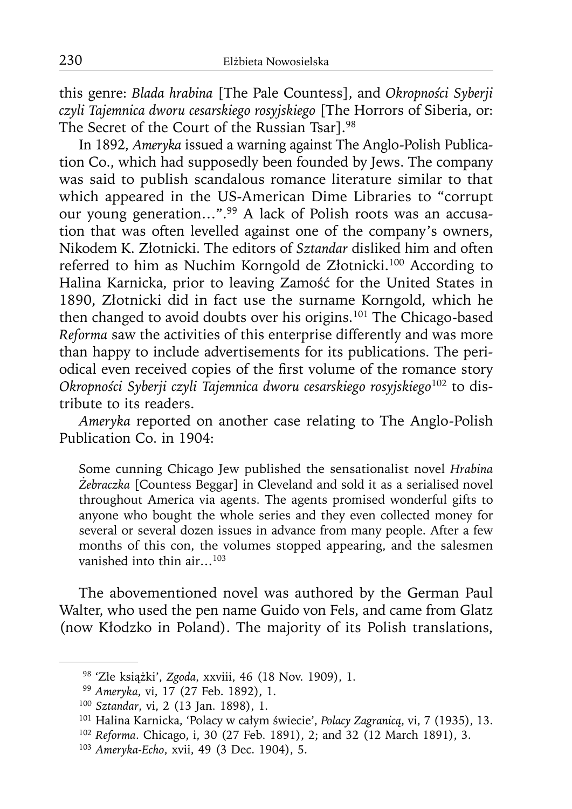this genre: *Blada hrabina* [The Pale Countess], and *Okropności Syberji czyli Tajemnica dworu cesarskiego rosyjskiego* [The Horrors of Siberia, or: The Secret of the Court of the Russian Tsar].98

In 1892, *Ameryka* issued a warning against The Anglo-Polish Publication Co., which had supposedly been founded by Jews. The company was said to publish scandalous romance literature similar to that which appeared in the US-American Dime Libraries to "corrupt our young generation…".99 A lack of Polish roots was an accusation that was often levelled against one of the company's owners, Nikodem K. Złotnicki. The editors of *Sztandar* disliked him and often referred to him as Nuchim Korngold de Złotnicki.100 According to Halina Karnicka, prior to leaving Zamość for the United States in 1890, Złotnicki did in fact use the surname Korngold, which he then changed to avoid doubts over his origins.101 The Chicago-based *Reforma* saw the activities of this enterprise differently and was more than happy to include advertisements for its publications. The periodical even received copies of the first volume of the romance story *Okropności Syberji czyli Tajemnica dworu cesarskiego rosyjskiego*<sup>102</sup> to distribute to its readers.

*Ameryka* reported on another case relating to The Anglo-Polish Publication Co. in 1904:

Some cunning Chicago Jew published the sensationalist novel *Hrabina Żebraczka* [Countess Beggar] in Cleveland and sold it as a serialised novel throughout America via agents. The agents promised wonderful gifts to anyone who bought the whole series and they even collected money for several or several dozen issues in advance from many people. After a few months of this con, the volumes stopped appearing, and the salesmen vanished into thin air…103

The abovementioned novel was authored by the German Paul Walter, who used the pen name Guido von Fels, and came from Glatz (now Kłodzko in Poland). The majority of its Polish translations,

<sup>98 &#</sup>x27;Złe książki', *Zgoda*, xxviii, 46 (18 Nov. 1909), 1.

<sup>99</sup>*Ameryka*, vi, 17 (27 Feb. 1892), 1.

<sup>100</sup>*Sztandar*, vi, 2 (13 Jan. 1898), 1.

<sup>101</sup> Halina Karnicka, 'Polacy w całym świecie', *Polacy Zagranicą*, vi, 7 (1935), 13.

<sup>102</sup>*Reforma*. Chicago, i, 30 (27 Feb. 1891), 2; and 32 (12 March 1891), 3.

<sup>103</sup> *Ameryka-Echo*, xvii, 49 (3 Dec. 1904), 5.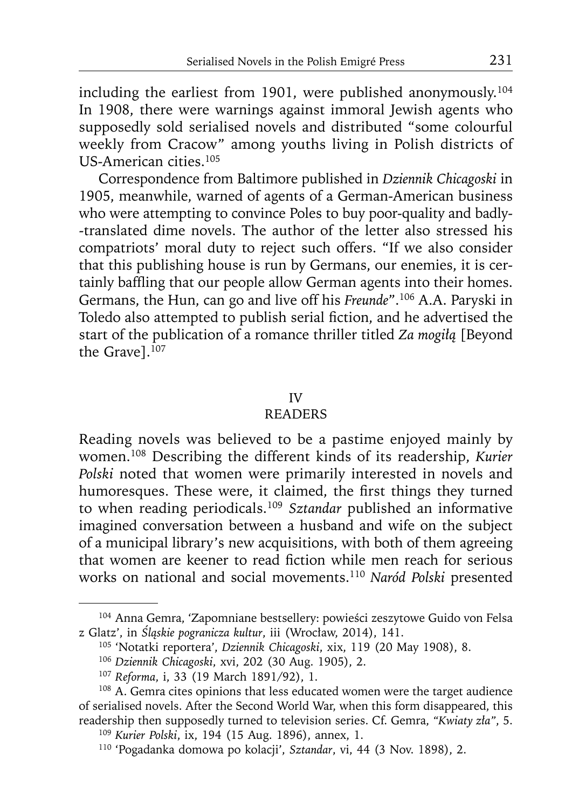including the earliest from 1901, were published anonymously.<sup>104</sup> In 1908, there were warnings against immoral Jewish agents who supposedly sold serialised novels and distributed "some colourful weekly from Cracow" among youths living in Polish districts of US-American cities.105

Correspondence from Baltimore published in *Dziennik Chicagoski* in 1905, meanwhile, warned of agents of a German-American business who were attempting to convince Poles to buy poor-quality and badly- -translated dime novels. The author of the letter also stressed his compatriots' moral duty to reject such offers. "If we also consider that this publishing house is run by Germans, our enemies, it is certainly baffling that our people allow German agents into their homes. Germans, the Hun, can go and live off his *Freunde*".106 A.A. Paryski in Toledo also attempted to publish serial fiction, and he advertised the start of the publication of a romance thriller titled *Za mogiłą* [Beyond the Gravel. $107$ 

# IV

# READERS

Reading novels was believed to be a pastime enjoyed mainly by women.108 Describing the different kinds of its readership, *Kurier Polski* noted that women were primarily interested in novels and humoresques. These were, it claimed, the first things they turned to when reading periodicals.109 *Sztandar* published an informative imagined conversation between a husband and wife on the subject of a municipal library's new acquisitions, with both of them agreeing that women are keener to read fiction while men reach for serious works on national and social movements.110 *Naród Polski* presented

<sup>104</sup> Anna Gemra, 'Zapomniane bestsellery: powieści zeszytowe Guido von Felsa z Glatz', in *Śląskie pogranicza kultur*, iii (Wrocław, 2014), 141.

<sup>105 &#</sup>x27;Notatki reportera', *Dziennik Chicagoski*, xix, 119 (20 May 1908), 8.

<sup>106</sup>*Dziennik Chicagoski*, xvi, 202 (30 Aug. 1905), 2.

<sup>107</sup>*Reforma*, i, 33 (19 March 1891/92), 1.

<sup>&</sup>lt;sup>108</sup> A. Gemra cites opinions that less educated women were the target audience of serialised novels. After the Second World War, when this form disappeared, this readership then supposedly turned to television series. Cf. Gemra, *"Kwiaty zła"*, 5.

<sup>109</sup>*Kurier Polski*, ix, 194 (15 Aug. 1896), annex, 1.

<sup>110 &#</sup>x27;Pogadanka domowa po kolacji', *Sztandar*, vi, 44 (3 Nov. 1898), 2.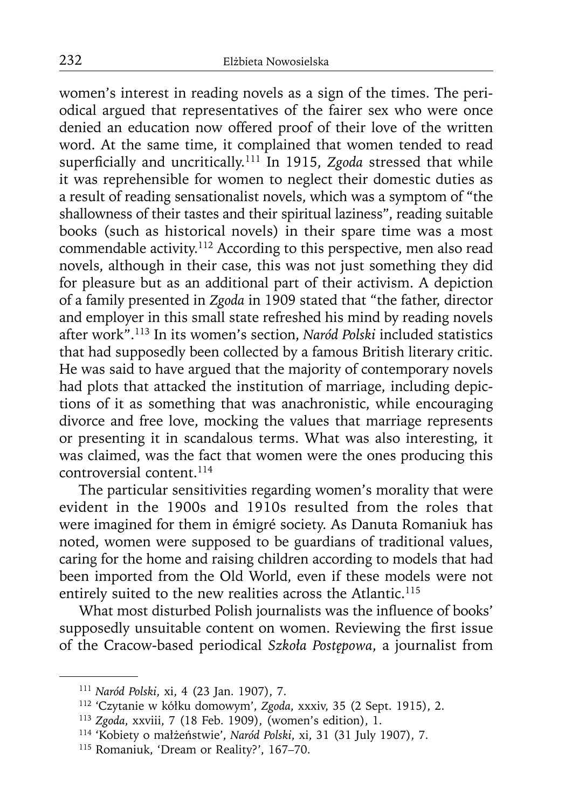women's interest in reading novels as a sign of the times. The periodical argued that representatives of the fairer sex who were once denied an education now offered proof of their love of the written word. At the same time, it complained that women tended to read superficially and uncritically.<sup>111</sup> In 1915, *Zgoda* stressed that while it was reprehensible for women to neglect their domestic duties as a result of reading sensationalist novels, which was a symptom of "the shallowness of their tastes and their spiritual laziness", reading suitable books (such as historical novels) in their spare time was a most commendable activity.112 According to this perspective, men also read novels, although in their case, this was not just something they did for pleasure but as an additional part of their activism. A depiction of a family presented in *Zgoda* in 1909 stated that "the father, director and employer in this small state refreshed his mind by reading novels after work".113 In its women's section, *Naród Polski* included statistics that had supposedly been collected by a famous British literary critic. He was said to have argued that the majority of contemporary novels had plots that attacked the institution of marriage, including depictions of it as something that was anachronistic, while encouraging divorce and free love, mocking the values that marriage represents or presenting it in scandalous terms. What was also interesting, it was claimed, was the fact that women were the ones producing this controversial content.114

The particular sensitivities regarding women's morality that were evident in the 1900s and 1910s resulted from the roles that were imagined for them in émigré society. As Danuta Romaniuk has noted, women were supposed to be guardians of traditional values, caring for the home and raising children according to models that had been imported from the Old World, even if these models were not entirely suited to the new realities across the Atlantic.<sup>115</sup>

What most disturbed Polish journalists was the influence of books' supposedly unsuitable content on women. Reviewing the first issue of the Cracow-based periodical *Szkoła Postępowa*, a journalist from

<sup>111</sup>*Naród Polski*, xi, 4 (23 Jan. 1907), 7.

<sup>112 &#</sup>x27;Czytanie w kółku domowym', *Zgoda*, xxxiv, 35 (2 Sept. 1915), 2.

<sup>113</sup>*Zgoda*, xxviii, 7 (18 Feb. 1909), (women's edition), 1.

<sup>114 &#</sup>x27;Kobiety o małżeństwie', *Naród Polski*, xi, 31 (31 July 1907), 7.

<sup>115</sup> Romaniuk, 'Dream or Reality?', 167–70.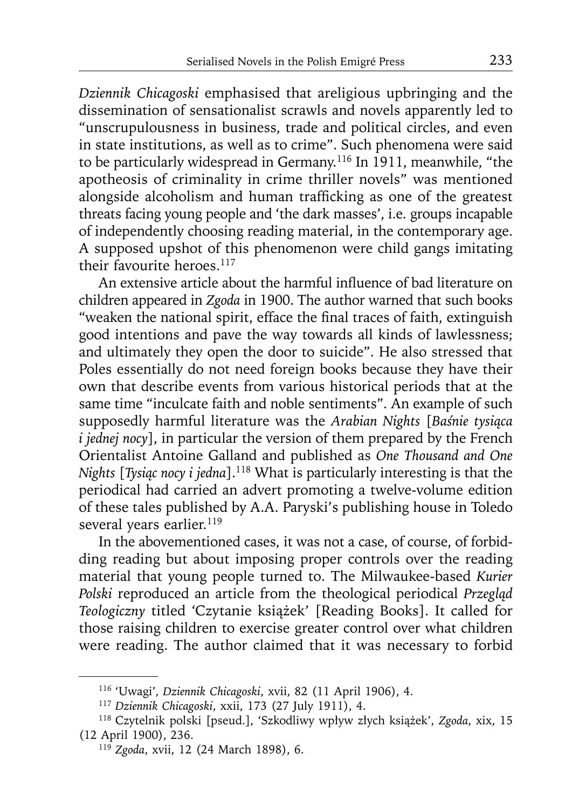*Dziennik Chicagoski* emphasised that areligious upbringing and the dissemination of sensationalist scrawls and novels apparently led to "unscrupulousness in business, trade and political circles, and even in state institutions, as well as to crime". Such phenomena were said to be particularly widespread in Germany.116 In 1911, meanwhile, "the apotheosis of criminality in crime thriller novels" was mentioned alongside alcoholism and human trafficking as one of the greatest threats facing young people and 'the dark masses', i.e. groups incapable of independently choosing reading material, in the contemporary age. A supposed upshot of this phenomenon were child gangs imitating their favourite heroes.<sup>117</sup>

An extensive article about the harmful influence of bad literature on children appeared in *Zgoda* in 1900. The author warned that such books "weaken the national spirit, efface the final traces of faith, extinguish good intentions and pave the way towards all kinds of lawlessness; and ultimately they open the door to suicide". He also stressed that Poles essentially do not need foreign books because they have their own that describe events from various historical periods that at the same time "inculcate faith and noble sentiments". An example of such supposedly harmful literature was the *Arabian Nights* [*Baśnie tysiąca i jednej nocy*], in particular the version of them prepared by the French Orientalist Antoine Galland and published as *One Thousand and One Nights* [*Tysiąc nocy i jedna*].118 What is particularly interesting is that the periodical had carried an advert promoting a twelve-volume edition of these tales published by A.A. Paryski's publishing house in Toledo several years earlier.<sup>119</sup>

In the abovementioned cases, it was not a case, of course, of forbidding reading but about imposing proper controls over the reading material that young people turned to. The Milwaukee-based *Kurier Polski* reproduced an article from the theological periodical *Przegląd Teologiczny* titled 'Czytanie książek' [Reading Books]. It called for those raising children to exercise greater control over what children were reading. The author claimed that it was necessary to forbid

<sup>116 &#</sup>x27;Uwagi', *Dziennik Chicagoski*, xvii, 82 (11 April 1906), 4.

<sup>117</sup>*Dziennik Chicagoski*, xxii, 173 (27 July 1911), 4.

<sup>118</sup> Czytelnik polski [pseud.], 'Szkodliwy wpływ złych książek', *Zgoda*, xix, 15 (12 April 1900), 236.

<sup>119</sup> *Zgoda*, xvii, 12 (24 March 1898), 6.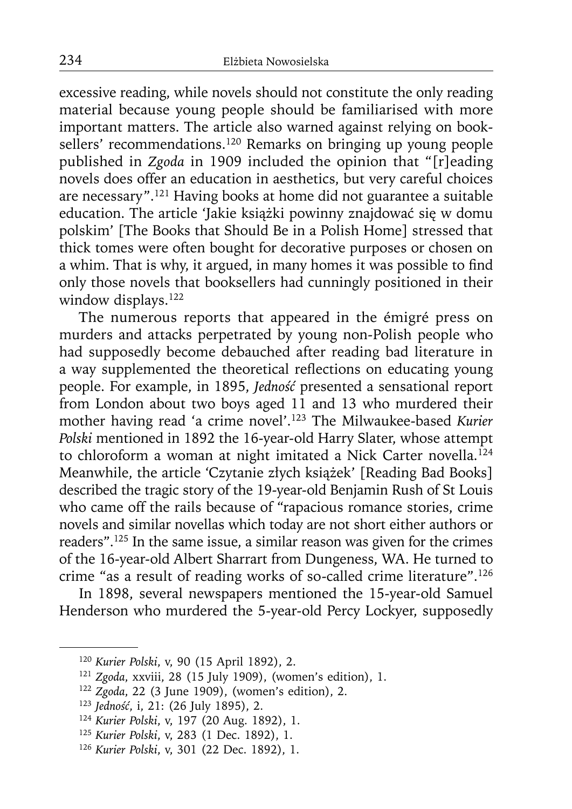excessive reading, while novels should not constitute the only reading material because young people should be familiarised with more important matters. The article also warned against relying on booksellers' recommendations.<sup>120</sup> Remarks on bringing up young people published in *Zgoda* in 1909 included the opinion that "[r]eading novels does offer an education in aesthetics, but very careful choices are necessary".121 Having books at home did not guarantee a suitable education. The article 'Jakie książki powinny znajdować się w domu polskim' [The Books that Should Be in a Polish Home] stressed that thick tomes were often bought for decorative purposes or chosen on a whim. That is why, it argued, in many homes it was possible to find only those novels that booksellers had cunningly positioned in their window displays.<sup>122</sup>

The numerous reports that appeared in the émigré press on murders and attacks perpetrated by young non-Polish people who had supposedly become debauched after reading bad literature in a way supplemented the theoretical reflections on educating young people. For example, in 1895, *Jedność* presented a sensational report from London about two boys aged 11 and 13 who murdered their mother having read 'a crime novel'.123 The Milwaukee-based *Kurier Polski* mentioned in 1892 the 16-year-old Harry Slater, whose attempt to chloroform a woman at night imitated a Nick Carter novella.<sup>124</sup> Meanwhile, the article 'Czytanie złych książek' [Reading Bad Books] described the tragic story of the 19-year-old Benjamin Rush of St Louis who came off the rails because of "rapacious romance stories, crime novels and similar novellas which today are not short either authors or readers".125 In the same issue, a similar reason was given for the crimes of the 16-year-old Albert Sharrart from Dungeness, WA. He turned to crime "as a result of reading works of so-called crime literature".126

In 1898, several newspapers mentioned the 15-year-old Samuel Henderson who murdered the 5-year-old Percy Lockyer, supposedly

<sup>120</sup>*Kurier Polski*, v, 90 (15 April 1892), 2.

<sup>121</sup>*Zgoda*, xxviii, 28 (15 July 1909), (women's edition), 1.

<sup>122</sup>*Zgoda*, 22 (3 June 1909), (women's edition), 2.

<sup>123</sup>*Jedność*, i, 21: (26 July 1895), 2.

<sup>124</sup>*Kurier Polski*, v, 197 (20 Aug. 1892), 1.

<sup>125</sup>*Kurier Polski*, v, 283 (1 Dec. 1892), 1.

<sup>126</sup> *Kurier Polski*, v, 301 (22 Dec. 1892), 1.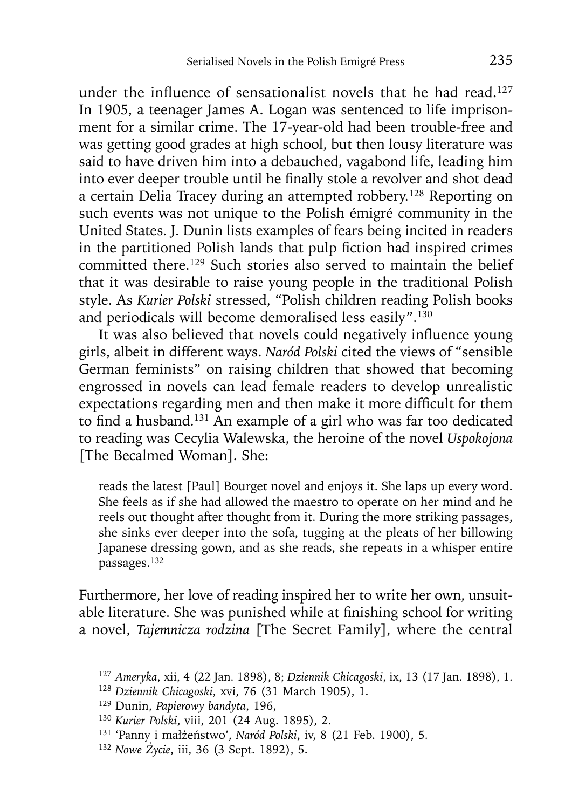under the influence of sensationalist novels that he had read.<sup>127</sup> In 1905, a teenager James A. Logan was sentenced to life imprisonment for a similar crime. The 17-year-old had been trouble-free and was getting good grades at high school, but then lousy literature was said to have driven him into a debauched, vagabond life, leading him into ever deeper trouble until he finally stole a revolver and shot dead a certain Delia Tracey during an attempted robbery.128 Reporting on such events was not unique to the Polish émigré community in the United States. J. Dunin lists examples of fears being incited in readers in the partitioned Polish lands that pulp fiction had inspired crimes committed there.<sup>129</sup> Such stories also served to maintain the belief that it was desirable to raise young people in the traditional Polish style. As *Kurier Polski* stressed, "Polish children reading Polish books and periodicals will become demoralised less easily".130

It was also believed that novels could negatively influence young girls, albeit in different ways. *Naród Polski* cited the views of "sensible German feminists" on raising children that showed that becoming engrossed in novels can lead female readers to develop unrealistic expectations regarding men and then make it more difficult for them to find a husband.<sup>131</sup> An example of a girl who was far too dedicated to reading was Cecylia Walewska, the heroine of the novel *Uspokojona*  [The Becalmed Woman]. She:

reads the latest [Paul] Bourget novel and enjoys it. She laps up every word. She feels as if she had allowed the maestro to operate on her mind and he reels out thought after thought from it. During the more striking passages, she sinks ever deeper into the sofa, tugging at the pleats of her billowing Japanese dressing gown, and as she reads, she repeats in a whisper entire passages.132

Furthermore, her love of reading inspired her to write her own, unsuitable literature. She was punished while at finishing school for writing a novel, *Tajemnicza rodzina* [The Secret Family], where the central

<sup>127</sup>*Ameryka*, xii, 4 (22 Jan. 1898), 8; *Dziennik Chicagoski*, ix, 13 (17 Jan. 1898), 1.

<sup>128</sup>*Dziennik Chicagoski*, xvi, 76 (31 March 1905), 1.

<sup>129</sup> Dunin, *Papierowy bandyta*, 196,

<sup>130</sup>*Kurier Polski*, viii, 201 (24 Aug. 1895), 2. 131 'Panny i małżeństwo', *Naród Polski*, iv, 8 (21 Feb. 1900), 5.

<sup>132</sup> *Nowe Życie*, iii, 36 (3 Sept. 1892), 5.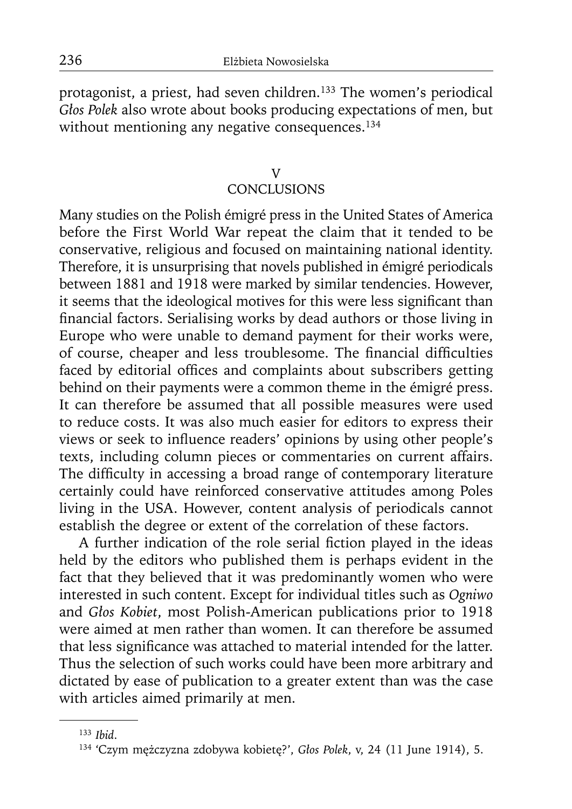protagonist, a priest, had seven children.<sup>133</sup> The women's periodical *Głos Polek* also wrote about books producing expectations of men, but without mentioning any negative consequences.<sup>134</sup>

# V

# **CONCLUSIONS**

Many studies on the Polish émigré press in the United States of America before the First World War repeat the claim that it tended to be conservative, religious and focused on maintaining national identity. Therefore, it is unsurprising that novels published in émigré periodicals between 1881 and 1918 were marked by similar tendencies. However, it seems that the ideological motives for this were less significant than financial factors. Serialising works by dead authors or those living in Europe who were unable to demand payment for their works were, of course, cheaper and less troublesome. The financial difficulties faced by editorial offices and complaints about subscribers getting behind on their payments were a common theme in the émigré press. It can therefore be assumed that all possible measures were used to reduce costs. It was also much easier for editors to express their views or seek to influence readers' opinions by using other people's texts, including column pieces or commentaries on current affairs. The difficulty in accessing a broad range of contemporary literature certainly could have reinforced conservative attitudes among Poles living in the USA. However, content analysis of periodicals cannot establish the degree or extent of the correlation of these factors.

A further indication of the role serial fiction played in the ideas held by the editors who published them is perhaps evident in the fact that they believed that it was predominantly women who were interested in such content. Except for individual titles such as *Ogniwo*  and *Głos Kobiet*, most Polish-American publications prior to 1918 were aimed at men rather than women. It can therefore be assumed that less significance was attached to material intended for the latter. Thus the selection of such works could have been more arbitrary and dictated by ease of publication to a greater extent than was the case with articles aimed primarily at men.

<sup>133</sup>*Ibid*.

<sup>134 &#</sup>x27;Czym mężczyzna zdobywa kobietę?', *Głos Polek*, v, 24 (11 June 1914), 5.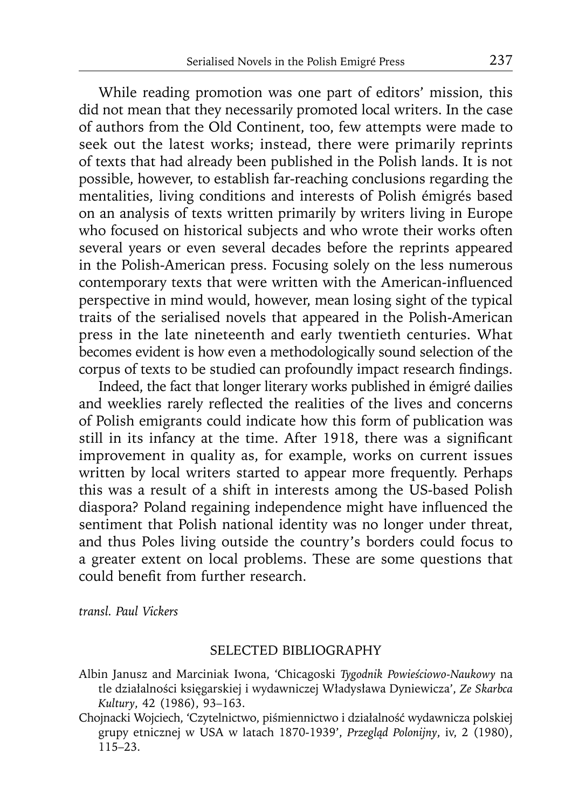While reading promotion was one part of editors' mission, this did not mean that they necessarily promoted local writers. In the case of authors from the Old Continent, too, few attempts were made to seek out the latest works; instead, there were primarily reprints of texts that had already been published in the Polish lands. It is not possible, however, to establish far-reaching conclusions regarding the mentalities, living conditions and interests of Polish émigrés based on an analysis of texts written primarily by writers living in Europe who focused on historical subjects and who wrote their works often several years or even several decades before the reprints appeared in the Polish-American press. Focusing solely on the less numerous contemporary texts that were written with the American-influenced perspective in mind would, however, mean losing sight of the typical traits of the serialised novels that appeared in the Polish-American press in the late nineteenth and early twentieth centuries. What becomes evident is how even a methodologically sound selection of the corpus of texts to be studied can profoundly impact research findings.

Indeed, the fact that longer literary works published in émigré dailies and weeklies rarely reflected the realities of the lives and concerns of Polish emigrants could indicate how this form of publication was still in its infancy at the time. After 1918, there was a significant improvement in quality as, for example, works on current issues written by local writers started to appear more frequently. Perhaps this was a result of a shift in interests among the US-based Polish diaspora? Poland regaining independence might have influenced the sentiment that Polish national identity was no longer under threat, and thus Poles living outside the country's borders could focus to a greater extent on local problems. These are some questions that could benefit from further research.

*transl. Paul Vickers* 

#### SELECTED BIBLIOGRAPHY

- Albin Janusz and Marciniak Iwona, 'Chicagoski *Tygodnik Powieściowo-Naukowy* na tle działalności księgarskiej i wydawniczej Władysława Dyniewicza', *Ze Skarbca Kultury*, 42 (1986), 93–163.
- Chojnacki Wojciech, 'Czytelnictwo, piśmiennictwo i działalność wydawnicza polskiej grupy etnicznej w USA w latach 1870-1939', *Przegląd Polonijny*, iv, 2 (1980), 115–23.